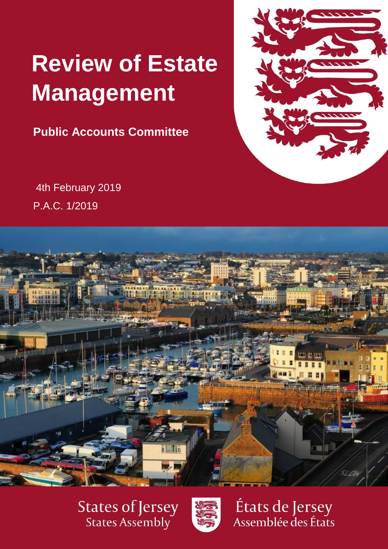# **Review of Estate Management**

**Public Accounts Committee** 

4th February 2019 P.A.C. 1/2019



**States of Jersey** States Assembly



États de Jersey<br>Assemblée des États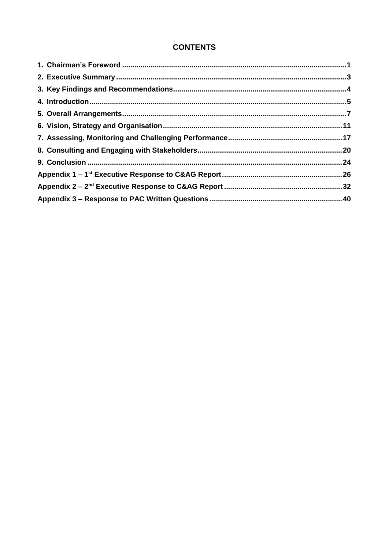# **CONTENTS**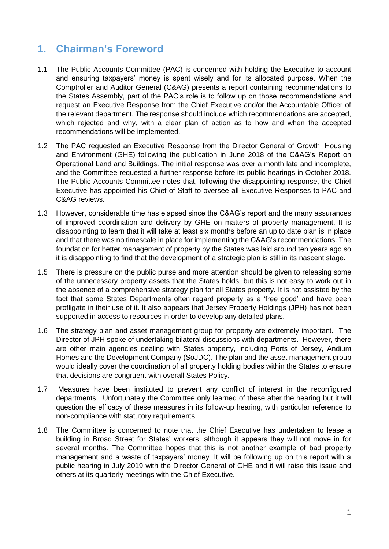# <span id="page-3-0"></span>**1. Chairman's Foreword**

- 1.1 The Public Accounts Committee (PAC) is concerned with holding the Executive to account and ensuring taxpayers' money is spent wisely and for its allocated purpose. When the Comptroller and Auditor General (C&AG) presents a report containing recommendations to the States Assembly, part of the PAC's role is to follow up on those recommendations and request an Executive Response from the Chief Executive and/or the Accountable Officer of the relevant department. The response should include which recommendations are accepted, which rejected and why, with a clear plan of action as to how and when the accepted recommendations will be implemented.
- 1.2 The PAC requested an Executive Response from the Director General of Growth, Housing and Environment (GHE) following the publication in June 2018 of the C&AG's Report on Operational Land and Buildings. The initial response was over a month late and incomplete, and the Committee requested a further response before its public hearings in October 2018. The Public Accounts Committee notes that, following the disappointing response, the Chief Executive has appointed his Chief of Staff to oversee all Executive Responses to PAC and C&AG reviews.
- 1.3 However, considerable time has elapsed since the C&AG's report and the many assurances of improved coordination and delivery by GHE on matters of property management. It is disappointing to learn that it will take at least six months before an up to date plan is in place and that there was no timescale in place for implementing the C&AG's recommendations. The foundation for better management of property by the States was laid around ten years ago so it is disappointing to find that the development of a strategic plan is still in its nascent stage.
- 1.5 There is pressure on the public purse and more attention should be given to releasing some of the unnecessary property assets that the States holds, but this is not easy to work out in the absence of a comprehensive strategy plan for all States property. It is not assisted by the fact that some States Departments often regard property as a 'free good' and have been profligate in their use of it. It also appears that Jersey Property Holdings (JPH) has not been supported in access to resources in order to develop any detailed plans.
- 1.6 The strategy plan and asset management group for property are extremely important. The Director of JPH spoke of undertaking bilateral discussions with departments. However, there are other main agencies dealing with States property, including Ports of Jersey, Andium Homes and the Development Company (SoJDC). The plan and the asset management group would ideally cover the coordination of all property holding bodies within the States to ensure that decisions are congruent with overall States Policy.
- 1.7 Measures have been instituted to prevent any conflict of interest in the reconfigured departments. Unfortunately the Committee only learned of these after the hearing but it will question the efficacy of these measures in its follow-up hearing, with particular reference to non-compliance with statutory requirements.
- 1.8 The Committee is concerned to note that the Chief Executive has undertaken to lease a building in Broad Street for States' workers, although it appears they will not move in for several months. The Committee hopes that this is not another example of bad property management and a waste of taxpayers' money. It will be following up on this report with a public hearing in July 2019 with the Director General of GHE and it will raise this issue and others at its quarterly meetings with the Chief Executive.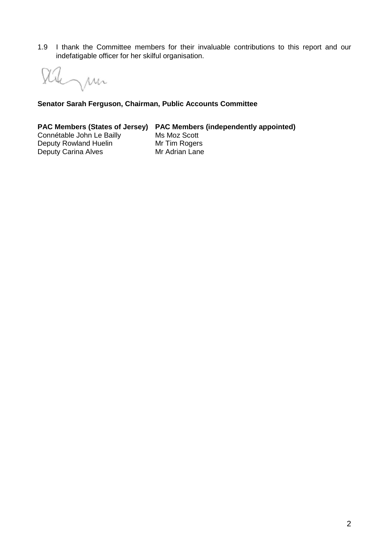1.9 I thank the Committee members for their invaluable contributions to this report and our indefatigable officer for her skilful organisation.

Dann

**Senator Sarah Ferguson, Chairman, Public Accounts Committee**

# **PAC Members (States of Jersey) PAC Members (independently appointed)**

Connétable John Le Bailly Ms Moz Scott Deputy Rowland Huelin Mr Tim Rogers<br>Deputy Carina Alves Mr Adrian Lane Deputy Carina Alves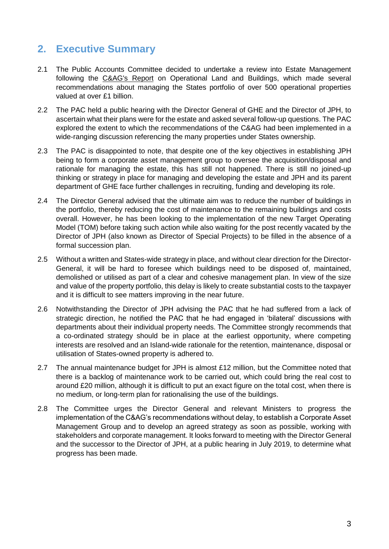# <span id="page-5-0"></span>**2. Executive Summary**

- 2.1 The Public Accounts Committee decided to undertake a review into Estate Management following the [C&AG's Report](https://www.jerseyauditoffice.je/wp-content/uploads/2018/06/Report-Operational-Land-and-Buildings-21.06.2018.pdf) on Operational Land and Buildings, which made several recommendations about managing the States portfolio of over 500 operational properties valued at over £1 billion.
- 2.2 The PAC held a public hearing with the Director General of GHE and the Director of JPH, to ascertain what their plans were for the estate and asked several follow-up questions. The PAC explored the extent to which the recommendations of the C&AG had been implemented in a wide-ranging discussion referencing the many properties under States ownership.
- 2.3 The PAC is disappointed to note, that despite one of the key objectives in establishing JPH being to form a corporate asset management group to oversee the acquisition/disposal and rationale for managing the estate, this has still not happened. There is still no joined-up thinking or strategy in place for managing and developing the estate and JPH and its parent department of GHE face further challenges in recruiting, funding and developing its role.
- 2.4 The Director General advised that the ultimate aim was to reduce the number of buildings in the portfolio, thereby reducing the cost of maintenance to the remaining buildings and costs overall. However, he has been looking to the implementation of the new Target Operating Model (TOM) before taking such action while also waiting for the post recently vacated by the Director of JPH (also known as Director of Special Projects) to be filled in the absence of a formal succession plan.
- 2.5 Without a written and States-wide strategy in place, and without clear direction for the Director-General, it will be hard to foresee which buildings need to be disposed of, maintained, demolished or utilised as part of a clear and cohesive management plan. In view of the size and value of the property portfolio, this delay is likely to create substantial costs to the taxpayer and it is difficult to see matters improving in the near future.
- 2.6 Notwithstanding the Director of JPH advising the PAC that he had suffered from a lack of strategic direction, he notified the PAC that he had engaged in 'bilateral' discussions with departments about their individual property needs. The Committee strongly recommends that a co-ordinated strategy should be in place at the earliest opportunity, where competing interests are resolved and an Island-wide rationale for the retention, maintenance, disposal or utilisation of States-owned property is adhered to.
- 2.7 The annual maintenance budget for JPH is almost £12 million, but the Committee noted that there is a backlog of maintenance work to be carried out, which could bring the real cost to around £20 million, although it is difficult to put an exact figure on the total cost, when there is no medium, or long-term plan for rationalising the use of the buildings.
- 2.8 The Committee urges the Director General and relevant Ministers to progress the implementation of the C&AG's recommendations without delay, to establish a Corporate Asset Management Group and to develop an agreed strategy as soon as possible, working with stakeholders and corporate management. It looks forward to meeting with the Director General and the successor to the Director of JPH, at a public hearing in July 2019, to determine what progress has been made.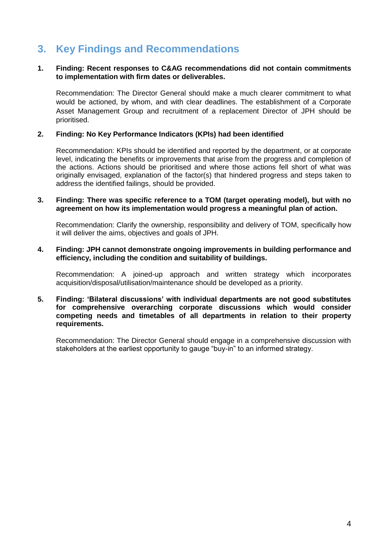# <span id="page-6-0"></span>**3. Key Findings and Recommendations**

#### **1. Finding: Recent responses to C&AG recommendations did not contain commitments to implementation with firm dates or deliverables.**

Recommendation: The Director General should make a much clearer commitment to what would be actioned, by whom, and with clear deadlines. The establishment of a Corporate Asset Management Group and recruitment of a replacement Director of JPH should be prioritised.

#### **2. Finding: No Key Performance Indicators (KPIs) had been identified**

Recommendation: KPIs should be identified and reported by the department, or at corporate level, indicating the benefits or improvements that arise from the progress and completion of the actions. Actions should be prioritised and where those actions fell short of what was originally envisaged, explanation of the factor(s) that hindered progress and steps taken to address the identified failings, should be provided.

#### **3. Finding: There was specific reference to a TOM (target operating model), but with no agreement on how its implementation would progress a meaningful plan of action.**

Recommendation: Clarify the ownership, responsibility and delivery of TOM, specifically how it will deliver the aims, objectives and goals of JPH.

#### **4. Finding: JPH cannot demonstrate ongoing improvements in building performance and efficiency, including the condition and suitability of buildings.**

Recommendation: A joined-up approach and written strategy which incorporates acquisition/disposal/utilisation/maintenance should be developed as a priority.

#### **5. Finding: 'Bilateral discussions' with individual departments are not good substitutes for comprehensive overarching corporate discussions which would consider competing needs and timetables of all departments in relation to their property requirements.**

Recommendation: The Director General should engage in a comprehensive discussion with stakeholders at the earliest opportunity to gauge "buy-in" to an informed strategy.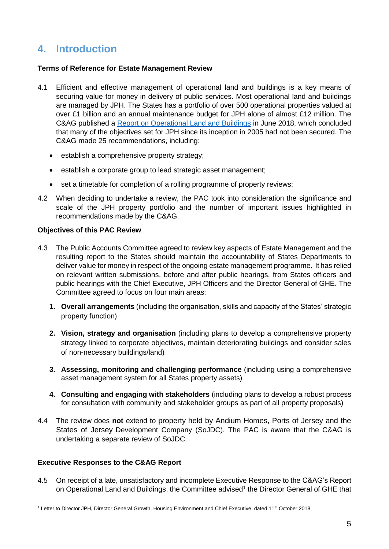# <span id="page-7-0"></span>**4. Introduction**

# **Terms of Reference for Estate Management Review**

- 4.1 Efficient and effective management of operational land and buildings is a key means of securing value for money in delivery of public services. Most operational land and buildings are managed by JPH. The States has a portfolio of over 500 operational properties valued at over £1 billion and an annual maintenance budget for JPH alone of almost £12 million. The C&AG published a [Report on Operational Land and Buildings](https://www.jerseyauditoffice.je/wp-content/uploads/2018/06/Report-Operational-Land-and-Buildings-21.06.2018.pdf) in June 2018, which concluded that many of the objectives set for JPH since its inception in 2005 had not been secured. The C&AG made 25 recommendations, including:
	- establish a comprehensive property strategy;
	- establish a corporate group to lead strategic asset management;
	- set a timetable for completion of a rolling programme of property reviews;
- 4.2 When deciding to undertake a review, the PAC took into consideration the significance and scale of the JPH property portfolio and the number of important issues highlighted in recommendations made by the C&AG.

# **Objectives of this PAC Review**

- 4.3 The Public Accounts Committee agreed to review key aspects of Estate Management and the resulting report to the States should maintain the accountability of States Departments to deliver value for money in respect of the ongoing estate management programme. It has relied on relevant written submissions, before and after public hearings, from States officers and public hearings with the Chief Executive, JPH Officers and the Director General of GHE. The Committee agreed to focus on four main areas:
	- **1. Overall arrangements** (including the organisation, skills and capacity of the States' strategic property function)
	- **2. Vision, strategy and organisation** (including plans to develop a comprehensive property strategy linked to corporate objectives, maintain deteriorating buildings and consider sales of non-necessary buildings/land)
	- **3. Assessing, monitoring and challenging performance** (including using a comprehensive asset management system for all States property assets)
	- **4. Consulting and engaging with stakeholders** (including plans to develop a robust process for consultation with community and stakeholder groups as part of all property proposals)
- 4.4 The review does **not** extend to property held by Andium Homes, Ports of Jersey and the States of Jersey Development Company (SoJDC). The PAC is aware that the C&AG is undertaking a separate review of SoJDC.

# **Executive Responses to the C&AG Report**

4.5 On receipt of a late, unsatisfactory and incomplete Executive Response to the C&AG's Report on Operational Land and Buildings, the Committee advised<sup>1</sup> the Director General of GHE that

 $\overline{a}$ <sup>1</sup> Letter to Director JPH, Director General Growth, Housing Environment and Chief Executive, dated 11<sup>th</sup> October 2018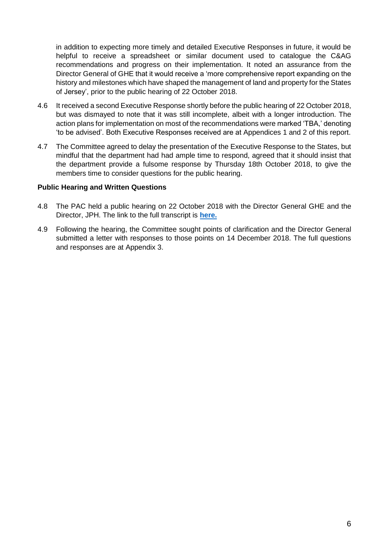in addition to expecting more timely and detailed Executive Responses in future, it would be helpful to receive a spreadsheet or similar document used to catalogue the C&AG recommendations and progress on their implementation. It noted an assurance from the Director General of GHE that it would receive a 'more comprehensive report expanding on the history and milestones which have shaped the management of land and property for the States of Jersey', prior to the public hearing of 22 October 2018.

- 4.6 It received a second Executive Response shortly before the public hearing of 22 October 2018, but was dismayed to note that it was still incomplete, albeit with a longer introduction. The action plans for implementation on most of the recommendations were marked 'TBA,' denoting 'to be advised'. Both Executive Responses received are at Appendices 1 and 2 of this report.
- 4.7 The Committee agreed to delay the presentation of the Executive Response to the States, but mindful that the department had had ample time to respond, agreed that it should insist that the department provide a fulsome response by Thursday 18th October 2018, to give the members time to consider questions for the public hearing.

# **Public Hearing and Written Questions**

- 4.8 The PAC held a public hearing on 22 October 2018 with the Director General GHE and the Director, JPH. The link to the full transcript is **[here.](https://statesassembly.gov.je/scrutinyreviewtranscripts/2018/transcript%20-%20estate%20management%20-%20jersey%20property%20holdings%20-%2022%20october%202018.pdf)**
- 4.9 Following the hearing, the Committee sought points of clarification and the Director General submitted a letter with responses to those points on 14 December 2018. The full questions and responses are at Appendix 3.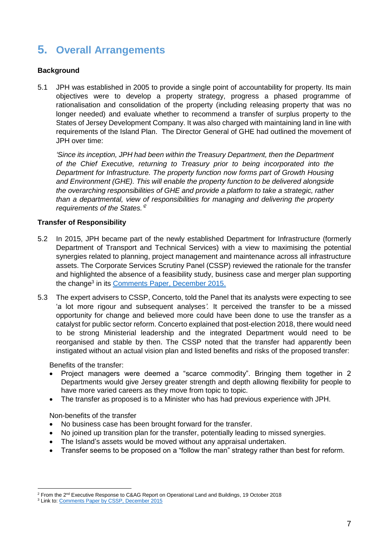# <span id="page-9-0"></span>**5. Overall Arrangements**

# **Background**

5.1 JPH was established in 2005 to provide a single point of accountability for property. Its main objectives were to develop a property strategy, progress a phased programme of rationalisation and consolidation of the property (including releasing property that was no longer needed) and evaluate whether to recommend a transfer of surplus property to the States of Jersey Development Company. It was also charged with maintaining land in line with requirements of the Island Plan. The Director General of GHE had outlined the movement of JPH over time:

*'Since its inception, JPH had been within the Treasury Department, then the Department of the Chief Executive, returning to Treasury prior to being incorporated into the Department for Infrastructure. The property function now forms part of Growth Housing and Environment (GHE). This will enable the property function to be delivered alongside the overarching responsibilities of GHE and provide a platform to take a strategic, rather than a departmental, view of responsibilities for managing and delivering the property requirements of the States.' 2*

# **Transfer of Responsibility**

- 5.2 In 2015, JPH became part of the newly established Department for Infrastructure (formerly Department of Transport and Technical Services) with a view to maximising the potential synergies related to planning, project management and maintenance across all infrastructure assets. The Corporate Services Scrutiny Panel (CSSP) reviewed the rationale for the transfer and highlighted the absence of a feasibility study, business case and merger plan supporting the change<sup>3</sup> in its [Comments Paper, December 2015.](https://statesassembly.gov.je/assemblypropositions/2015/p.46-2015com.pdf)
- 5.3 The expert advisers to CSSP, Concerto, told the Panel that its analysts were expecting to see 'a lot more rigour and subsequent analyses*'.* It perceived the transfer to be a missed opportunity for change and believed more could have been done to use the transfer as a catalyst for public sector reform. Concerto explained that post-election 2018, there would need to be strong Ministerial leadership and the integrated Department would need to be reorganised and stable by then. The CSSP noted that the transfer had apparently been instigated without an actual vision plan and listed benefits and risks of the proposed transfer:

Benefits of the transfer:

- Project managers were deemed a "scarce commodity". Bringing them together in 2 Departments would give Jersey greater strength and depth allowing flexibility for people to have more varied careers as they move from topic to topic.
- The transfer as proposed is to a Minister who has had previous experience with JPH.

Non-benefits of the transfer

- No business case has been brought forward for the transfer.
- No joined up transition plan for the transfer, potentially leading to missed synergies.
- The Island's assets would be moved without any appraisal undertaken.
- Transfer seems to be proposed on a "follow the man" strategy rather than best for reform.

 $\overline{a}$  $2$  From the 2<sup>nd</sup> Executive Response to C&AG Report on Operational Land and Buildings, 19 October 2018

<sup>&</sup>lt;sup>3</sup> Link to[: Comments Paper by CSSP, December 2015](https://statesassembly.gov.je/assemblypropositions/2015/p.46-2015com.pdf)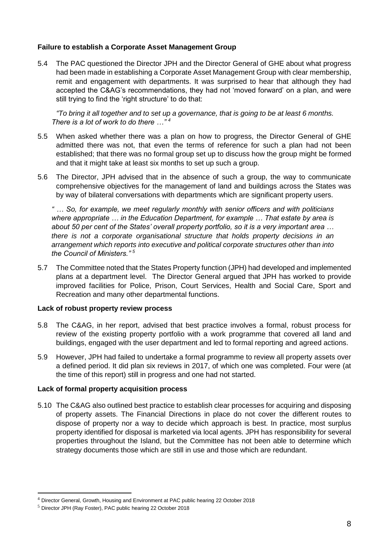# **Failure to establish a Corporate Asset Management Group**

5.4 The PAC questioned the Director JPH and the Director General of GHE about what progress had been made in establishing a Corporate Asset Management Group with clear membership, remit and engagement with departments. It was surprised to hear that although they had accepted the C&AG's recommendations, they had not 'moved forward' on a plan, and were still trying to find the 'right structure' to do that:

*"To bring it all together and to set up a governance, that is going to be at least 6 months. There is a lot of work to do there …" 4*

- 5.5 When asked whether there was a plan on how to progress, the Director General of GHE admitted there was not, that even the terms of reference for such a plan had not been established; that there was no formal group set up to discuss how the group might be formed and that it might take at least six months to set up such a group.
- 5.6 The Director, JPH advised that in the absence of such a group, the way to communicate comprehensive objectives for the management of land and buildings across the States was by way of bilateral conversations with departments which are significant property users.

*" … So, for example, we meet regularly monthly with senior officers and with politicians where appropriate … in the Education Department, for example … That estate by area is about 50 per cent of the States' overall property portfolio, so it is a very important area … there is not a corporate organisational structure that holds property decisions in an arrangement which reports into executive and political corporate structures other than into the Council of Ministers." <sup>5</sup>*

5.7 The Committee noted that the States Property function (JPH) had developed and implemented plans at a department level. The Director General argued that JPH has worked to provide improved facilities for Police, Prison, Court Services, Health and Social Care, Sport and Recreation and many other departmental functions.

# **Lack of robust property review process**

- 5.8 The C&AG, in her report, advised that best practice involves a formal, robust process for review of the existing property portfolio with a work programme that covered all land and buildings, engaged with the user department and led to formal reporting and agreed actions.
- 5.9 However, JPH had failed to undertake a formal programme to review all property assets over a defined period. It did plan six reviews in 2017, of which one was completed. Four were (at the time of this report) still in progress and one had not started.

# **Lack of formal property acquisition process**

5.10 The C&AG also outlined best practice to establish clear processes for acquiring and disposing of property assets. The Financial Directions in place do not cover the different routes to dispose of property nor a way to decide which approach is best. In practice, most surplus property identified for disposal is marketed via local agents. JPH has responsibility for several properties throughout the Island, but the Committee has not been able to determine which strategy documents those which are still in use and those which are redundant.

 $\overline{a}$ 

<sup>4</sup> Director General, Growth, Housing and Environment at PAC public hearing 22 October 2018

<sup>5</sup> Director JPH (Ray Foster), PAC public hearing 22 October 2018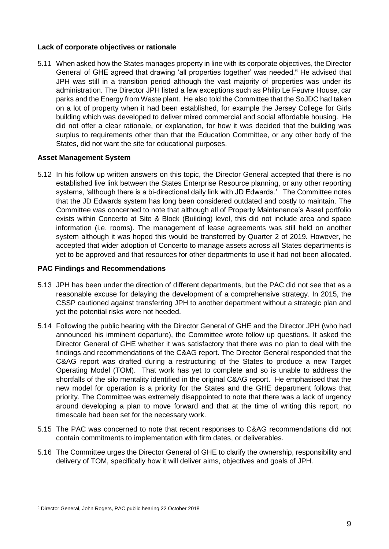# **Lack of corporate objectives or rationale**

5.11 When asked how the States manages property in line with its corporate objectives, the Director General of GHE agreed that drawing 'all properties together' was needed.<sup>6</sup> He advised that JPH was still in a transition period although the vast majority of properties was under its administration. The Director JPH listed a few exceptions such as Philip Le Feuvre House, car parks and the Energy from Waste plant. He also told the Committee that the SoJDC had taken on a lot of property when it had been established, for example the Jersey College for Girls building which was developed to deliver mixed commercial and social affordable housing. He did not offer a clear rationale, or explanation, for how it was decided that the building was surplus to requirements other than that the Education Committee, or any other body of the States, did not want the site for educational purposes.

# **Asset Management System**

5.12 In his follow up written answers on this topic, the Director General accepted that there is no established live link between the States Enterprise Resource planning, or any other reporting systems, 'although there is a bi-directional daily link with JD Edwards.' The Committee notes that the JD Edwards system has long been considered outdated and costly to maintain. The Committee was concerned to note that although all of Property Maintenance's Asset portfolio exists within Concerto at Site & Block (Building) level, this did not include area and space information (i.e. rooms). The management of lease agreements was still held on another system although it was hoped this would be transferred by Quarter 2 of 2019. However, he accepted that wider adoption of Concerto to manage assets across all States departments is yet to be approved and that resources for other departments to use it had not been allocated.

# **PAC Findings and Recommendations**

- 5.13 JPH has been under the direction of different departments, but the PAC did not see that as a reasonable excuse for delaying the development of a comprehensive strategy. In 2015, the CSSP cautioned against transferring JPH to another department without a strategic plan and yet the potential risks were not heeded.
- 5.14 Following the public hearing with the Director General of GHE and the Director JPH (who had announced his imminent departure), the Committee wrote follow up questions. It asked the Director General of GHE whether it was satisfactory that there was no plan to deal with the findings and recommendations of the C&AG report. The Director General responded that the C&AG report was drafted during a restructuring of the States to produce a new Target Operating Model (TOM). That work has yet to complete and so is unable to address the shortfalls of the silo mentality identified in the original C&AG report. He emphasised that the new model for operation is a priority for the States and the GHE department follows that priority. The Committee was extremely disappointed to note that there was a lack of urgency around developing a plan to move forward and that at the time of writing this report, no timescale had been set for the necessary work.
- 5.15 The PAC was concerned to note that recent responses to C&AG recommendations did not contain commitments to implementation with firm dates, or deliverables.
- 5.16 The Committee urges the Director General of GHE to clarify the ownership, responsibility and delivery of TOM, specifically how it will deliver aims, objectives and goals of JPH.

 $\overline{a}$ <sup>6</sup> Director General, John Rogers, PAC public hearing 22 October 2018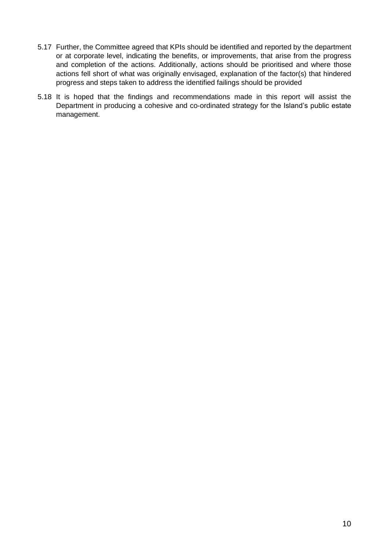- 5.17 Further, the Committee agreed that KPIs should be identified and reported by the department or at corporate level, indicating the benefits, or improvements, that arise from the progress and completion of the actions. Additionally, actions should be prioritised and where those actions fell short of what was originally envisaged, explanation of the factor(s) that hindered progress and steps taken to address the identified failings should be provided
- 5.18 It is hoped that the findings and recommendations made in this report will assist the Department in producing a cohesive and co-ordinated strategy for the Island's public estate management.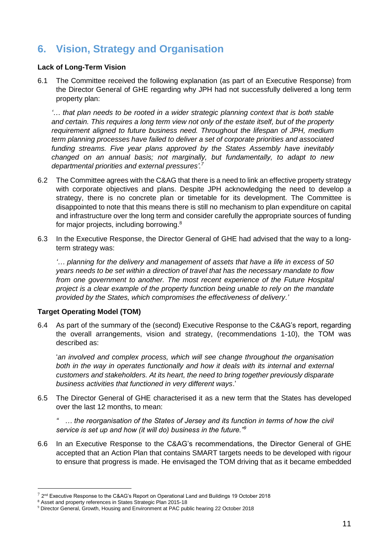# <span id="page-13-0"></span>**6. Vision, Strategy and Organisation**

# **Lack of Long-Term Vision**

6.1 The Committee received the following explanation (as part of an Executive Response) from the Director General of GHE regarding why JPH had not successfully delivered a long term property plan:

*'… that plan needs to be rooted in a wider strategic planning context that is both stable and certain. This requires a long term view not only of the estate itself, but of the property requirement aligned to future business need. Throughout the lifespan of JPH, medium term planning processes have failed to deliver a set of corporate priorities and associated funding streams. Five year plans approved by the States Assembly have inevitably changed on an annual basis; not marginally, but fundamentally, to adapt to new departmental priorities and external pressures'. 7*

- 6.2 The Committee agrees with the C&AG that there is a need to link an effective property strategy with corporate objectives and plans. Despite JPH acknowledging the need to develop a strategy, there is no concrete plan or timetable for its development. The Committee is disappointed to note that this means there is still no mechanism to plan expenditure on capital and infrastructure over the long term and consider carefully the appropriate sources of funding for major projects, including borrowing.<sup>8</sup>
- 6.3 In the Executive Response, the Director General of GHE had advised that the way to a longterm strategy was:

*'… planning for the delivery and management of assets that have a life in excess of 50 years needs to be set within a direction of travel that has the necessary mandate to flow from one government to another. The most recent experience of the Future Hospital project is a clear example of the property function being unable to rely on the mandate provided by the States, which compromises the effectiveness of delivery.'*

# **Target Operating Model (TOM)**

6.4 As part of the summary of the (second) Executive Response to the C&AG's report, regarding the overall arrangements, vision and strategy, (recommendations 1-10), the TOM was described as:

'*an involved and complex process, which will see change throughout the organisation both in the way in operates functionally and how it deals with its internal and external customers and stakeholders. At its heart, the need to bring together previously disparate business activities that functioned in very different ways*.'

6.5 The Director General of GHE characterised it as a new term that the States has developed over the last 12 months, to mean:

*" … the reorganisation of the States of Jersey and its function in terms of how the civil service is set up and how (it will do) business in the future."<sup>9</sup>*

6.6 In an Executive Response to the C&AG's recommendations, the Director General of GHE accepted that an Action Plan that contains SMART targets needs to be developed with rigour to ensure that progress is made. He envisaged the TOM driving that as it became embedded

 $\overline{a}$ 

 $^7$  2<sup>nd</sup> Executive Response to the C&AG's Report on Operational Land and Buildings 19 October 2018

 $8$  Asset and property references in States Strategic Plan 2015-18

<sup>9</sup> Director General, Growth, Housing and Environment at PAC public hearing 22 October 2018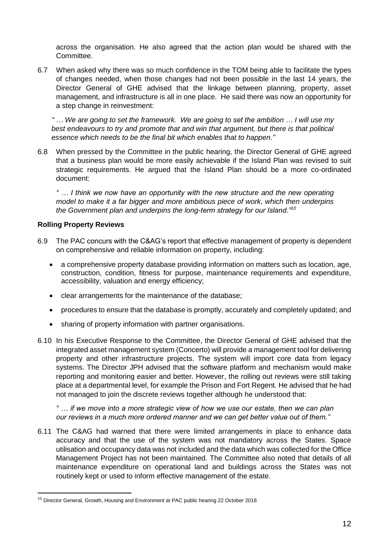across the organisation. He also agreed that the action plan would be shared with the Committee.

6.7 When asked why there was so much confidence in the TOM being able to facilitate the types of changes needed, when those changes had not been possible in the last 14 years, the Director General of GHE advised that the linkage between planning, property, asset management, and infrastructure is all in one place. He said there was now an opportunity for a step change in reinvestment:

*" … We are going to set the framework. We are going to set the ambition … I will use my best endeavours to try and promote that and win that argument, but there is that political essence which needs to be the final bit which enables that to happen."* 

6.8 When pressed by the Committee in the public hearing, the Director General of GHE agreed that a business plan would be more easily achievable if the Island Plan was revised to suit strategic requirements. He argued that the Island Plan should be a more co-ordinated document:

*" … I think we now have an opportunity with the new structure and the new operating model to make it a far bigger and more ambitious piece of work, which then underpins the Government plan and underpins the long-term strategy for our Island."<sup>10</sup>*

# **Rolling Property Reviews**

 $\overline{a}$ 

- 6.9 The PAC concurs with the C&AG's report that effective management of property is dependent on comprehensive and reliable information on property, including:
	- a comprehensive property database providing information on matters such as location, age, construction, condition, fitness for purpose, maintenance requirements and expenditure, accessibility, valuation and energy efficiency;
	- clear arrangements for the maintenance of the database;
	- procedures to ensure that the database is promptly, accurately and completely updated; and
	- sharing of property information with partner organisations.
- 6.10 In his Executive Response to the Committee, the Director General of GHE advised that the integrated asset management system (Concerto) will provide a management tool for delivering property and other infrastructure projects. The system will import core data from legacy systems. The Director JPH advised that the software platform and mechanism would make reporting and monitoring easier and better. However, the rolling out reviews were still taking place at a departmental level, for example the Prison and Fort Regent. He advised that he had not managed to join the discrete reviews together although he understood that:

*" … if we move into a more strategic view of how we use our estate, then we can plan our reviews in a much more ordered manner and we can get better value out of them."* 

6.11 The C&AG had warned that there were limited arrangements in place to enhance data accuracy and that the use of the system was not mandatory across the States. Space utilisation and occupancy data was not included and the data which was collected for the Office Management Project has not been maintained. The Committee also noted that details of all maintenance expenditure on operational land and buildings across the States was not routinely kept or used to inform effective management of the estate.

 $^{10}$  Director General, Growth, Housing and Environment at PAC public hearing 22 October 2018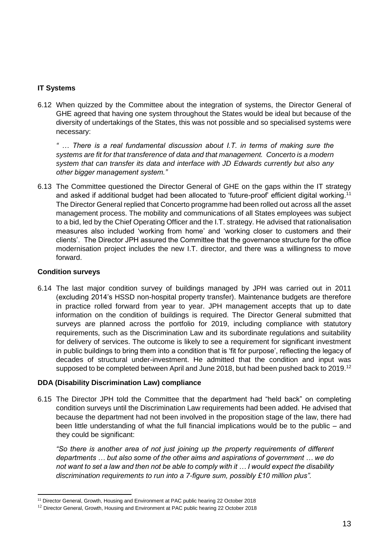# **IT Systems**

6.12 When quizzed by the Committee about the integration of systems, the Director General of GHE agreed that having one system throughout the States would be ideal but because of the diversity of undertakings of the States, this was not possible and so specialised systems were necessary:

*" … There is a real fundamental discussion about I.T. in terms of making sure the systems are fit for that transference of data and that management. Concerto is a modern system that can transfer its data and interface with JD Edwards currently but also any other bigger management system."*

6.13 The Committee questioned the Director General of GHE on the gaps within the IT strategy and asked if additional budget had been allocated to 'future-proof' efficient digital working.<sup>11</sup> The Director General replied that Concerto programme had been rolled out across all the asset management process. The mobility and communications of all States employees was subject to a bid, led by the Chief Operating Officer and the I.T. strategy. He advised that rationalisation measures also included 'working from home' and 'working closer to customers and their clients'. The Director JPH assured the Committee that the governance structure for the office modernisation project includes the new I.T. director, and there was a willingness to move forward.

# **Condition surveys**

 $\overline{a}$ 

6.14 The last major condition survey of buildings managed by JPH was carried out in 2011 (excluding 2014's HSSD non-hospital property transfer). Maintenance budgets are therefore in practice rolled forward from year to year. JPH management accepts that up to date information on the condition of buildings is required. The Director General submitted that surveys are planned across the portfolio for 2019, including compliance with statutory requirements, such as the Discrimination Law and its subordinate regulations and suitability for delivery of services. The outcome is likely to see a requirement for significant investment in public buildings to bring them into a condition that is 'fit for purpose', reflecting the legacy of decades of structural under-investment. He admitted that the condition and input was supposed to be completed between April and June 2018, but had been pushed back to 2019.<sup>12</sup>

# **DDA (Disability Discrimination Law) compliance**

6.15 The Director JPH told the Committee that the department had "held back" on completing condition surveys until the Discrimination Law requirements had been added. He advised that because the department had not been involved in the proposition stage of the law, there had been little understanding of what the full financial implications would be to the public – and they could be significant:

*"So there is another area of not just joining up the property requirements of different departments … but also some of the other aims and aspirations of government … we do not want to set a law and then not be able to comply with it … I would expect the disability discrimination requirements to run into a 7-figure sum, possibly £10 million plus".*

<sup>&</sup>lt;sup>11</sup> Director General, Growth, Housing and Environment at PAC public hearing 22 October 2018

<sup>&</sup>lt;sup>12</sup> Director General, Growth, Housing and Environment at PAC public hearing 22 October 2018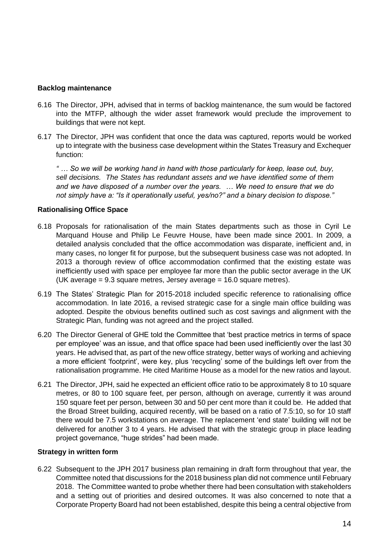#### **Backlog maintenance**

- 6.16 The Director, JPH, advised that in terms of backlog maintenance, the sum would be factored into the MTFP, although the wider asset framework would preclude the improvement to buildings that were not kept.
- 6.17 The Director, JPH was confident that once the data was captured, reports would be worked up to integrate with the business case development within the States Treasury and Exchequer function:

*" … So we will be working hand in hand with those particularly for keep, lease out, buy, sell decisions. The States has redundant assets and we have identified some of them and we have disposed of a number over the years. … We need to ensure that we do not simply have a: "Is it operationally useful, yes/no?" and a binary decision to dispose."* 

# **Rationalising Office Space**

- 6.18 Proposals for rationalisation of the main States departments such as those in Cyril Le Marquand House and Philip Le Feuvre House, have been made since 2001. In 2009, a detailed analysis concluded that the office accommodation was disparate, inefficient and, in many cases, no longer fit for purpose, but the subsequent business case was not adopted. In 2013 a thorough review of office accommodation confirmed that the existing estate was inefficiently used with space per employee far more than the public sector average in the UK (UK average = 9.3 square metres, Jersey average = 16.0 square metres).
- 6.19 The States' Strategic Plan for 2015-2018 included specific reference to rationalising office accommodation. In late 2016, a revised strategic case for a single main office building was adopted. Despite the obvious benefits outlined such as cost savings and alignment with the Strategic Plan, funding was not agreed and the project stalled.
- 6.20 The Director General of GHE told the Committee that 'best practice metrics in terms of space per employee' was an issue, and that office space had been used inefficiently over the last 30 years. He advised that, as part of the new office strategy, better ways of working and achieving a more efficient 'footprint', were key, plus 'recycling' some of the buildings left over from the rationalisation programme. He cited Maritime House as a model for the new ratios and layout.
- 6.21 The Director, JPH, said he expected an efficient office ratio to be approximately 8 to 10 square metres, or 80 to 100 square feet, per person, although on average, currently it was around 150 square feet per person, between 30 and 50 per cent more than it could be. He added that the Broad Street building, acquired recently, will be based on a ratio of 7.5:10, so for 10 staff there would be 7.5 workstations on average. The replacement 'end state' building will not be delivered for another 3 to 4 years. He advised that with the strategic group in place leading project governance, "huge strides" had been made.

# **Strategy in written form**

6.22 Subsequent to the JPH 2017 business plan remaining in draft form throughout that year, the Committee noted that discussions for the 2018 business plan did not commence until February 2018. The Committee wanted to probe whether there had been consultation with stakeholders and a setting out of priorities and desired outcomes. It was also concerned to note that a Corporate Property Board had not been established, despite this being a central objective from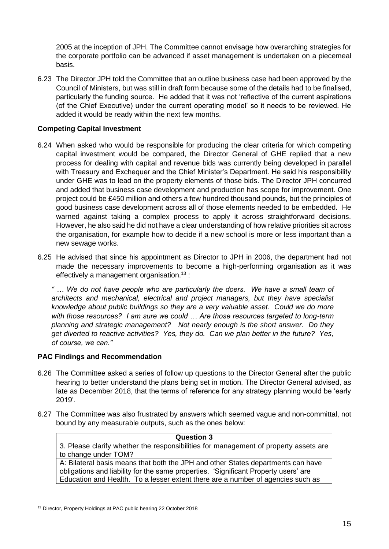2005 at the inception of JPH. The Committee cannot envisage how overarching strategies for the corporate portfolio can be advanced if asset management is undertaken on a piecemeal basis.

6.23 The Director JPH told the Committee that an outline business case had been approved by the Council of Ministers, but was still in draft form because some of the details had to be finalised, particularly the funding source. He added that it was not 'reflective of the current aspirations (of the Chief Executive) under the current operating model' so it needs to be reviewed. He added it would be ready within the next few months.

# **Competing Capital Investment**

- 6.24 When asked who would be responsible for producing the clear criteria for which competing capital investment would be compared, the Director General of GHE replied that a new process for dealing with capital and revenue bids was currently being developed in parallel with Treasury and Exchequer and the Chief Minister's Department. He said his responsibility under GHE was to lead on the property elements of those bids. The Director JPH concurred and added that business case development and production has scope for improvement. One project could be £450 million and others a few hundred thousand pounds, but the principles of good business case development across all of those elements needed to be embedded. He warned against taking a complex process to apply it across straightforward decisions. However, he also said he did not have a clear understanding of how relative priorities sit across the organisation, for example how to decide if a new school is more or less important than a new sewage works.
- 6.25 He advised that since his appointment as Director to JPH in 2006, the department had not made the necessary improvements to become a high-performing organisation as it was effectively a management organisation.<sup>13</sup> :

*" … We do not have people who are particularly the doers. We have a small team of architects and mechanical, electrical and project managers, but they have specialist knowledge about public buildings so they are a very valuable asset. Could we do more with those resources? I am sure we could … Are those resources targeted to long-term planning and strategic management? Not nearly enough is the short answer. Do they get diverted to reactive activities? Yes, they do. Can we plan better in the future? Yes, of course, we can."*

# **PAC Findings and Recommendation**

- 6.26 The Committee asked a series of follow up questions to the Director General after the public hearing to better understand the plans being set in motion. The Director General advised, as late as December 2018, that the terms of reference for any strategy planning would be 'early 2019'.
- 6.27 The Committee was also frustrated by answers which seemed vague and non-committal, not bound by any measurable outputs, such as the ones below:

| <b>Question 3</b>                                                                    |
|--------------------------------------------------------------------------------------|
| 3. Please clarify whether the responsibilities for management of property assets are |
| to change under TOM?                                                                 |
| A: Bilateral basis means that both the JPH and other States departments can have     |
| obligations and liability for the same properties. 'Significant Property users' are  |
| Education and Health. To a lesser extent there are a number of agencies such as      |

 $\overline{a}$ <sup>13</sup> Director, Property Holdings at PAC public hearing 22 October 2018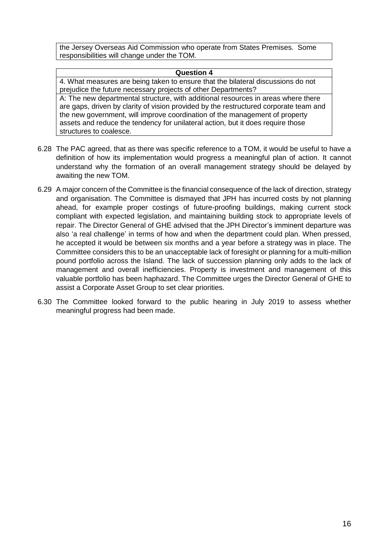the Jersey Overseas Aid Commission who operate from States Premises. Some responsibilities will change under the TOM.

#### **Question 4**

4. What measures are being taken to ensure that the bilateral discussions do not prejudice the future necessary projects of other Departments?

A: The new departmental structure, with additional resources in areas where there are gaps, driven by clarity of vision provided by the restructured corporate team and the new government, will improve coordination of the management of property assets and reduce the tendency for unilateral action, but it does require those structures to coalesce.

- 6.28 The PAC agreed, that as there was specific reference to a TOM, it would be useful to have a definition of how its implementation would progress a meaningful plan of action. It cannot understand why the formation of an overall management strategy should be delayed by awaiting the new TOM.
- 6.29 A major concern of the Committee is the financial consequence of the lack of direction, strategy and organisation. The Committee is dismayed that JPH has incurred costs by not planning ahead, for example proper costings of future-proofing buildings, making current stock compliant with expected legislation, and maintaining building stock to appropriate levels of repair. The Director General of GHE advised that the JPH Director's imminent departure was also 'a real challenge' in terms of how and when the department could plan. When pressed, he accepted it would be between six months and a year before a strategy was in place. The Committee considers this to be an unacceptable lack of foresight or planning for a multi-million pound portfolio across the Island. The lack of succession planning only adds to the lack of management and overall inefficiencies. Property is investment and management of this valuable portfolio has been haphazard. The Committee urges the Director General of GHE to assist a Corporate Asset Group to set clear priorities.
- 6.30 The Committee looked forward to the public hearing in July 2019 to assess whether meaningful progress had been made.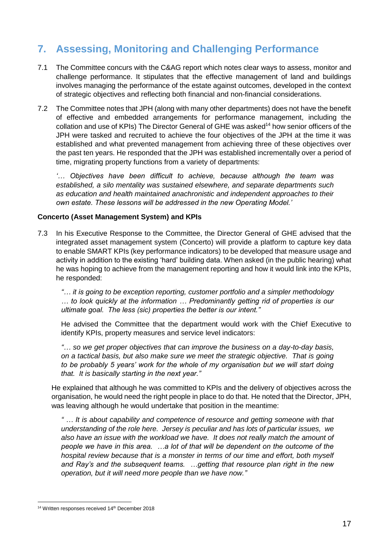# <span id="page-19-0"></span>**7. Assessing, Monitoring and Challenging Performance**

- 7.1 The Committee concurs with the C&AG report which notes clear ways to assess, monitor and challenge performance. It stipulates that the effective management of land and buildings involves managing the performance of the estate against outcomes, developed in the context of strategic objectives and reflecting both financial and non-financial considerations.
- 7.2 The Committee notes that JPH (along with many other departments) does not have the benefit of effective and embedded arrangements for performance management, including the collation and use of KPIs) The Director General of GHE was asked<sup>14</sup> how senior officers of the JPH were tasked and recruited to achieve the four objectives of the JPH at the time it was established and what prevented management from achieving three of these objectives over the past ten years. He responded that the JPH was established incrementally over a period of time, migrating property functions from a variety of departments:

*'… Objectives have been difficult to achieve, because although the team was established, a silo mentality was sustained elsewhere, and separate departments such as education and health maintained anachronistic and independent approaches to their own estate. These lessons will be addressed in the new Operating Model.'*

# **Concerto (Asset Management System) and KPIs**

7.3 In his Executive Response to the Committee, the Director General of GHE advised that the integrated asset management system (Concerto) will provide a platform to capture key data to enable SMART KPIs (key performance indicators) to be developed that measure usage and activity in addition to the existing 'hard' building data. When asked (in the public hearing) what he was hoping to achieve from the management reporting and how it would link into the KPIs, he responded:

*"… it is going to be exception reporting, customer portfolio and a simpler methodology … to look quickly at the information … Predominantly getting rid of properties is our ultimate goal. The less (sic) properties the better is our intent."*

He advised the Committee that the department would work with the Chief Executive to identify KPIs, property measures and service level indicators:

*"… so we get proper objectives that can improve the business on a day-to-day basis, on a tactical basis, but also make sure we meet the strategic objective. That is going to be probably 5 years' work for the whole of my organisation but we will start doing that. It is basically starting in the next year."*

He explained that although he was committed to KPIs and the delivery of objectives across the organisation, he would need the right people in place to do that. He noted that the Director, JPH, was leaving although he would undertake that position in the meantime:

*" … It is about capability and competence of resource and getting someone with that understanding of the role here. Jersey is peculiar and has lots of particular issues, we also have an issue with the workload we have. It does not really match the amount of people we have in this area. …a lot of that will be dependent on the outcome of the hospital review because that is a monster in terms of our time and effort, both myself and Ray's and the subsequent teams. …getting that resource plan right in the new operation, but it will need more people than we have now."*

 $\overline{a}$ <sup>14</sup> Written responses received 14<sup>th</sup> December 2018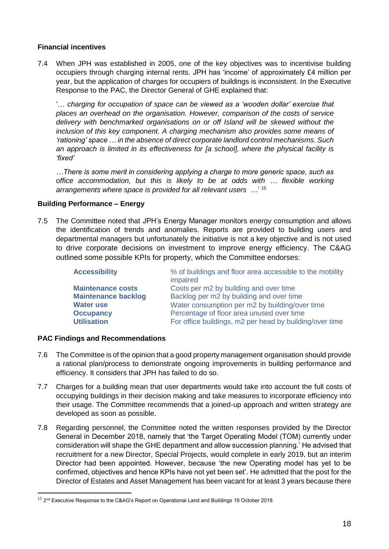# **Financial incentives**

7.4 When JPH was established in 2005, one of the key objectives was to incentivise building occupiers through charging internal rents. JPH has 'income' of approximately £4 million per year, but the application of charges for occupiers of buildings is inconsistent. In the Executive Response to the PAC, the Director General of GHE explained that:

'… *charging for occupation of space can be viewed as a 'wooden dollar' exercise that places an overhead on the organisation. However, comparison of the costs of service delivery with benchmarked organisations on or off Island will be skewed without the inclusion of this key component. A charging mechanism also provides some means of 'rationing' space … in the absence of direct corporate landlord control mechanisms. Such an approach is limited in its effectiveness for [a school], where the physical facility is 'fixed'* 

*…There is some merit in considering applying a charge to more generic space, such as office accommodation, but this is likely to be at odds with … flexible working arrangements where space is provided for all relevant users …*' <sup>15</sup>

# **Building Performance – Energy**

7.5 The Committee noted that JPH's Energy Manager monitors energy consumption and allows the identification of trends and anomalies. Reports are provided to building users and departmental managers but unfortunately the initiative is not a key objective and is not used to drive corporate decisions on investment to improve energy efficiency. The C&AG outlined some possible KPIs for property, which the Committee endorses:

| <b>Accessibility</b>       | % of buildings and floor area accessible to the mobility<br>impaired |
|----------------------------|----------------------------------------------------------------------|
| <b>Maintenance costs</b>   | Costs per m2 by building and over time                               |
| <b>Maintenance backlog</b> | Backlog per m2 by building and over time                             |
| <b>Water use</b>           | Water consumption per m2 by building/over time                       |
| <b>Occupancy</b>           | Percentage of floor area unused over time                            |
| <b>Utilisation</b>         | For office buildings, m2 per head by building/over time              |

# **PAC Findings and Recommendations**

 $\overline{a}$ 

- 7.6 The Committee is of the opinion that a good property management organisation should provide a rational plan/process to demonstrate ongoing improvements in building performance and efficiency. It considers that JPH has failed to do so.
- 7.7 Charges for a building mean that user departments would take into account the full costs of occupying buildings in their decision making and take measures to incorporate efficiency into their usage. The Committee recommends that a joined-up approach and written strategy are developed as soon as possible.
- 7.8 Regarding personnel, the Committee noted the written responses provided by the Director General in December 2018, namely that 'the Target Operating Model (TOM) currently under consideration will shape the GHE department and allow succession planning.' He advised that recruitment for a new Director, Special Projects, would complete in early 2019, but an interim Director had been appointed. However, because 'the new Operating model has yet to be confirmed, objectives and hence KPIs have not yet been set'. He admitted that the post for the Director of Estates and Asset Management has been vacant for at least 3 years because there

<sup>&</sup>lt;sup>15</sup> 2<sup>nd</sup> Executive Response to the C&AG's Report on Operational Land and Buildings 19 October 2018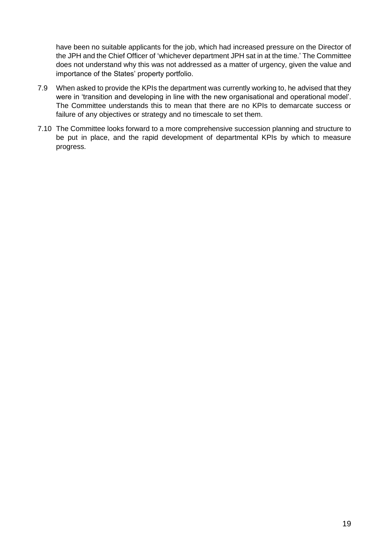have been no suitable applicants for the job, which had increased pressure on the Director of the JPH and the Chief Officer of 'whichever department JPH sat in at the time.' The Committee does not understand why this was not addressed as a matter of urgency, given the value and importance of the States' property portfolio.

- 7.9 When asked to provide the KPIs the department was currently working to, he advised that they were in 'transition and developing in line with the new organisational and operational model'. The Committee understands this to mean that there are no KPIs to demarcate success or failure of any objectives or strategy and no timescale to set them.
- 7.10 The Committee looks forward to a more comprehensive succession planning and structure to be put in place, and the rapid development of departmental KPIs by which to measure progress.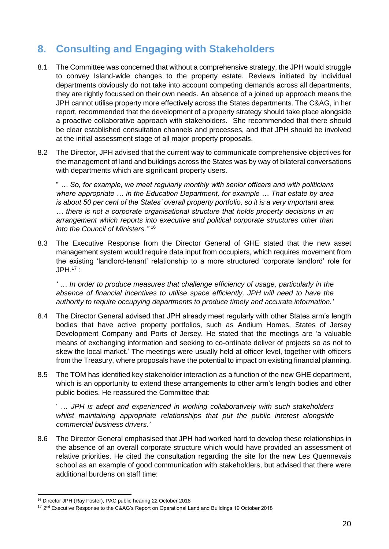# <span id="page-22-0"></span>**8. Consulting and Engaging with Stakeholders**

- 8.1 The Committee was concerned that without a comprehensive strategy, the JPH would struggle to convey Island-wide changes to the property estate. Reviews initiated by individual departments obviously do not take into account competing demands across all departments, they are rightly focussed on their own needs. An absence of a joined up approach means the JPH cannot utilise property more effectively across the States departments. The C&AG, in her report, recommended that the development of a property strategy should take place alongside a proactive collaborative approach with stakeholders. She recommended that there should be clear established consultation channels and processes, and that JPH should be involved at the initial assessment stage of all major property proposals.
- 8.2 The Director, JPH advised that the current way to communicate comprehensive objectives for the management of land and buildings across the States was by way of bilateral conversations with departments which are significant property users.

" *… So, for example, we meet regularly monthly with senior officers and with politicians where appropriate … in the Education Department, for example … That estate by area is about 50 per cent of the States' overall property portfolio, so it is a very important area … there is not a corporate organisational structure that holds property decisions in an arrangement which reports into executive and political corporate structures other than into the Council of Ministers."* 16

8.3 The Executive Response from the Director General of GHE stated that the new asset management system would require data input from occupiers, which requires movement from the existing 'landlord-tenant' relationship to a more structured 'corporate landlord' role for JPH.<sup>17</sup> :

*' … In order to produce measures that challenge efficiency of usage, particularly in the absence of financial incentives to utilise space efficiently, JPH will need to have the authority to require occupying departments to produce timely and accurate information.'*

- 8.4 The Director General advised that JPH already meet regularly with other States arm's length bodies that have active property portfolios, such as Andium Homes, States of Jersey Development Company and Ports of Jersey. He stated that the meetings are 'a valuable means of exchanging information and seeking to co-ordinate deliver of projects so as not to skew the local market.' The meetings were usually held at officer level, together with officers from the Treasury, where proposals have the potential to impact on existing financial planning.
- 8.5 The TOM has identified key stakeholder interaction as a function of the new GHE department, which is an opportunity to extend these arrangements to other arm's length bodies and other public bodies. He reassured the Committee that:

' … *JPH is adept and experienced in working collaboratively with such stakeholders whilst maintaining appropriate relationships that put the public interest alongside commercial business drivers.'*

8.6 The Director General emphasised that JPH had worked hard to develop these relationships in the absence of an overall corporate structure which would have provided an assessment of relative priorities. He cited the consultation regarding the site for the new Les Quennevais school as an example of good communication with stakeholders, but advised that there were additional burdens on staff time:

 $\overline{a}$ 

<sup>16</sup> Director JPH (Ray Foster), PAC public hearing 22 October 2018

 $17$  2<sup>nd</sup> Executive Response to the C&AG's Report on Operational Land and Buildings 19 October 2018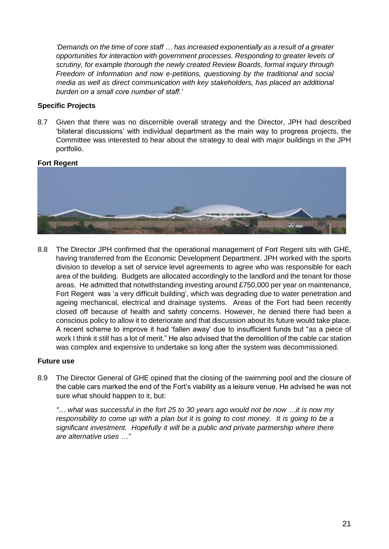*'Demands on the time of core staff … has increased exponentially as a result of a greater opportunities for interaction with government processes. Responding to greater levels of scrutiny, for example thorough the newly created Review Boards, formal inquiry through Freedom of Information and now e-petitions, questioning by the traditional and social media as well as direct communication with key stakeholders, has placed an additional burden on a small core number of staff.'*

# **Specific Projects**

8.7 Given that there was no discernible overall strategy and the Director, JPH had described 'bilateral discussions' with individual department as the main way to progress projects, the Committee was interested to hear about the strategy to deal with major buildings in the JPH portfolio.

# **Fort Regent**



8.8 The Director JPH confirmed that the operational management of Fort Regent sits with GHE, having transferred from the Economic Development Department. JPH worked with the sports division to develop a set of service level agreements to agree who was responsible for each area of the building. Budgets are allocated accordingly to the landlord and the tenant for those areas. He admitted that notwithstanding investing around £750,000 per year on maintenance, Fort Regent was 'a very difficult building', which was degrading due to water penetration and ageing mechanical, electrical and drainage systems. Areas of the Fort had been recently closed off because of health and safety concerns. However, he denied there had been a conscious policy to allow it to deteriorate and that discussion about its future would take place. A recent scheme to improve it had 'fallen away' due to insufficient funds but "as a piece of work I think it still has a lot of merit." He also advised that the demolition of the cable car station was complex and expensive to undertake so long after the system was decommissioned.

# **Future use**

8.9 The Director General of GHE opined that the closing of the swimming pool and the closure of the cable cars marked the end of the Fort's viability as a leisure venue. He advised he was not sure what should happen to it, but:

*"… what was successful in the fort 25 to 30 years ago would not be now …it is now my responsibility to come up with a plan but it is going to cost money. It is going to be a significant investment. Hopefully it will be a public and private partnership where there are alternative uses …"*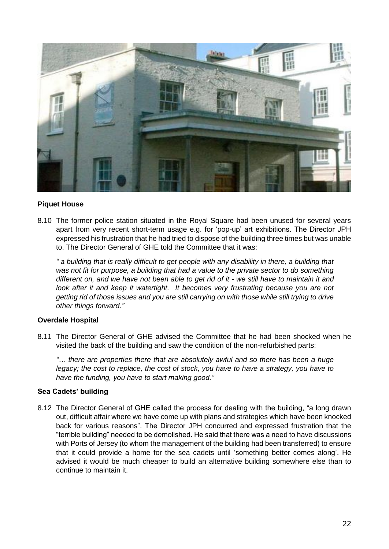

# **Piquet House**

8.10 The former police station situated in the Royal Square had been unused for several years apart from very recent short-term usage e.g. for 'pop-up' art exhibitions. The Director JPH expressed his frustration that he had tried to dispose of the building three times but was unable to. The Director General of GHE told the Committee that it was:

*" a building that is really difficult to get people with any disability in there, a building that was not fit for purpose, a building that had a value to the private sector to do something different on, and we have not been able to get rid of it - we still have to maintain it and look after it and keep it watertight. It becomes very frustrating because you are not getting rid of those issues and you are still carrying on with those while still trying to drive other things forward."*

# **Overdale Hospital**

8.11 The Director General of GHE advised the Committee that he had been shocked when he visited the back of the building and saw the condition of the non-refurbished parts:

*"… there are properties there that are absolutely awful and so there has been a huge legacy; the cost to replace, the cost of stock, you have to have a strategy, you have to have the funding, you have to start making good."*

# **Sea Cadets' building**

8.12 The Director General of GHE called the process for dealing with the building, "a long drawn out, difficult affair where we have come up with plans and strategies which have been knocked back for various reasons". The Director JPH concurred and expressed frustration that the "terrible building" needed to be demolished. He said that there was a need to have discussions with Ports of Jersey (to whom the management of the building had been transferred) to ensure that it could provide a home for the sea cadets until 'something better comes along'. He advised it would be much cheaper to build an alternative building somewhere else than to continue to maintain it.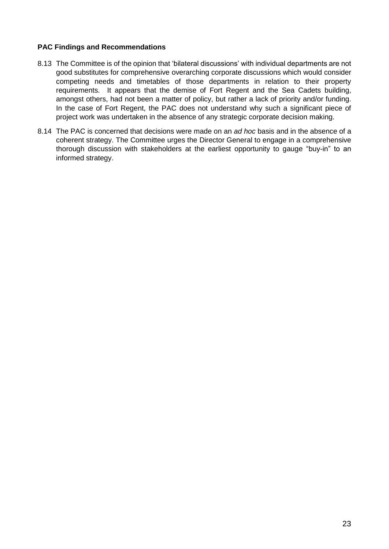# **PAC Findings and Recommendations**

- 8.13 The Committee is of the opinion that 'bilateral discussions' with individual departments are not good substitutes for comprehensive overarching corporate discussions which would consider competing needs and timetables of those departments in relation to their property requirements. It appears that the demise of Fort Regent and the Sea Cadets building, amongst others, had not been a matter of policy, but rather a lack of priority and/or funding. In the case of Fort Regent, the PAC does not understand why such a significant piece of project work was undertaken in the absence of any strategic corporate decision making.
- 8.14 The PAC is concerned that decisions were made on an *ad hoc* basis and in the absence of a coherent strategy. The Committee urges the Director General to engage in a comprehensive thorough discussion with stakeholders at the earliest opportunity to gauge "buy-in" to an informed strategy.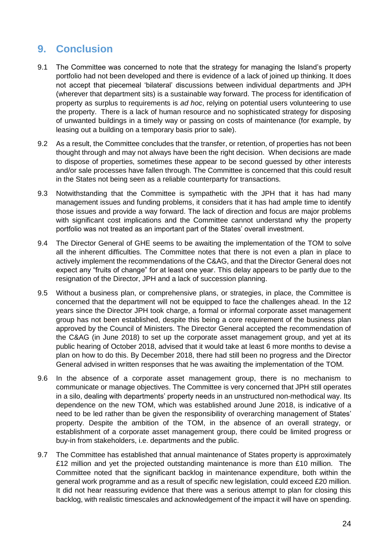# <span id="page-26-0"></span>**9. Conclusion**

- 9.1 The Committee was concerned to note that the strategy for managing the Island's property portfolio had not been developed and there is evidence of a lack of joined up thinking. It does not accept that piecemeal 'bilateral' discussions between individual departments and JPH (wherever that department sits) is a sustainable way forward. The process for identification of property as surplus to requirements is *ad hoc*, relying on potential users volunteering to use the property. There is a lack of human resource and no sophisticated strategy for disposing of unwanted buildings in a timely way or passing on costs of maintenance (for example, by leasing out a building on a temporary basis prior to sale).
- 9.2 As a result, the Committee concludes that the transfer, or retention, of properties has not been thought through and may not always have been the right decision. When decisions are made to dispose of properties, sometimes these appear to be second guessed by other interests and/or sale processes have fallen through. The Committee is concerned that this could result in the States not being seen as a reliable counterparty for transactions.
- 9.3 Notwithstanding that the Committee is sympathetic with the JPH that it has had many management issues and funding problems, it considers that it has had ample time to identify those issues and provide a way forward. The lack of direction and focus are major problems with significant cost implications and the Committee cannot understand why the property portfolio was not treated as an important part of the States' overall investment.
- 9.4 The Director General of GHE seems to be awaiting the implementation of the TOM to solve all the inherent difficulties. The Committee notes that there is not even a plan in place to actively implement the recommendations of the C&AG, and that the Director General does not expect any "fruits of change" for at least one year. This delay appears to be partly due to the resignation of the Director, JPH and a lack of succession planning.
- 9.5 Without a business plan, or comprehensive plans, or strategies, in place, the Committee is concerned that the department will not be equipped to face the challenges ahead. In the 12 years since the Director JPH took charge, a formal or informal corporate asset management group has not been established, despite this being a core requirement of the business plan approved by the Council of Ministers. The Director General accepted the recommendation of the C&AG (in June 2018) to set up the corporate asset management group, and yet at its public hearing of October 2018, advised that it would take at least 6 more months to devise a plan on how to do this. By December 2018, there had still been no progress and the Director General advised in written responses that he was awaiting the implementation of the TOM.
- 9.6 In the absence of a corporate asset management group, there is no mechanism to communicate or manage objectives. The Committee is very concerned that JPH still operates in a silo, dealing with departments' property needs in an unstructured non-methodical way. Its dependence on the new TOM, which was established around June 2018, is indicative of a need to be led rather than be given the responsibility of overarching management of States' property. Despite the ambition of the TOM, in the absence of an overall strategy, or establishment of a corporate asset management group, there could be limited progress or buy-in from stakeholders, i.e. departments and the public.
- 9.7 The Committee has established that annual maintenance of States property is approximately £12 million and yet the projected outstanding maintenance is more than £10 million. The Committee noted that the significant backlog in maintenance expenditure, both within the general work programme and as a result of specific new legislation, could exceed £20 million. It did not hear reassuring evidence that there was a serious attempt to plan for closing this backlog, with realistic timescales and acknowledgement of the impact it will have on spending.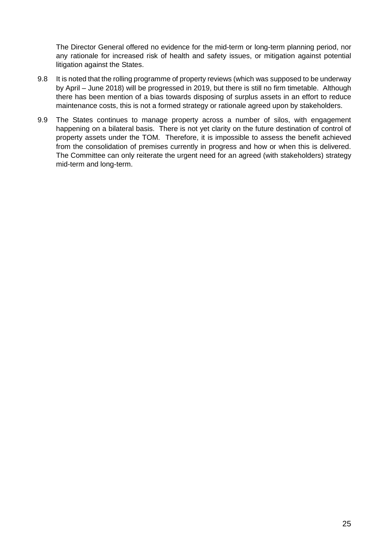The Director General offered no evidence for the mid-term or long-term planning period, nor any rationale for increased risk of health and safety issues, or mitigation against potential litigation against the States.

- 9.8 It is noted that the rolling programme of property reviews (which was supposed to be underway by April – June 2018) will be progressed in 2019, but there is still no firm timetable. Although there has been mention of a bias towards disposing of surplus assets in an effort to reduce maintenance costs, this is not a formed strategy or rationale agreed upon by stakeholders.
- 9.9 The States continues to manage property across a number of silos, with engagement happening on a bilateral basis. There is not yet clarity on the future destination of control of property assets under the TOM. Therefore, it is impossible to assess the benefit achieved from the consolidation of premises currently in progress and how or when this is delivered. The Committee can only reiterate the urgent need for an agreed (with stakeholders) strategy mid-term and long-term.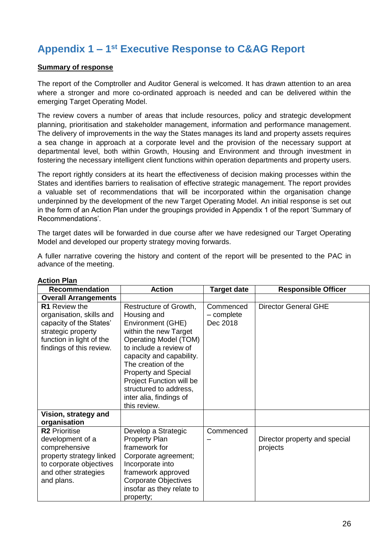# <span id="page-28-0"></span>**Appendix 1 – 1 st Executive Response to C&AG Report**

# **Summary of response**

The report of the Comptroller and Auditor General is welcomed. It has drawn attention to an area where a stronger and more co-ordinated approach is needed and can be delivered within the emerging Target Operating Model.

The review covers a number of areas that include resources, policy and strategic development planning, prioritisation and stakeholder management, information and performance management. The delivery of improvements in the way the States manages its land and property assets requires a sea change in approach at a corporate level and the provision of the necessary support at departmental level, both within Growth, Housing and Environment and through investment in fostering the necessary intelligent client functions within operation departments and property users.

The report rightly considers at its heart the effectiveness of decision making processes within the States and identifies barriers to realisation of effective strategic management. The report provides a valuable set of recommendations that will be incorporated within the organisation change underpinned by the development of the new Target Operating Model. An initial response is set out in the form of an Action Plan under the groupings provided in Appendix 1 of the report 'Summary of Recommendations'.

The target dates will be forwarded in due course after we have redesigned our Target Operating Model and developed our property strategy moving forwards.

|                         |  |  |  |  | A fuller narrative covering the history and content of the report will be presented to the PAC in |  |  |
|-------------------------|--|--|--|--|---------------------------------------------------------------------------------------------------|--|--|
| advance of the meeting. |  |  |  |  |                                                                                                   |  |  |

| <b>Recommendation</b>                                                                                                                                     | <b>Action</b>                                                                                                                                                                                                                                                                                                                    | <b>Target date</b>                  | <b>Responsible Officer</b>                |
|-----------------------------------------------------------------------------------------------------------------------------------------------------------|----------------------------------------------------------------------------------------------------------------------------------------------------------------------------------------------------------------------------------------------------------------------------------------------------------------------------------|-------------------------------------|-------------------------------------------|
| <b>Overall Arrangements</b>                                                                                                                               |                                                                                                                                                                                                                                                                                                                                  |                                     |                                           |
| <b>R1</b> Review the<br>organisation, skills and<br>capacity of the States'<br>strategic property<br>function in light of the<br>findings of this review. | Restructure of Growth,<br>Housing and<br>Environment (GHE)<br>within the new Target<br><b>Operating Model (TOM)</b><br>to include a review of<br>capacity and capability.<br>The creation of the<br><b>Property and Special</b><br>Project Function will be<br>structured to address,<br>inter alia, findings of<br>this review. | Commenced<br>- complete<br>Dec 2018 | <b>Director General GHE</b>               |
| Vision, strategy and<br>organisation                                                                                                                      |                                                                                                                                                                                                                                                                                                                                  |                                     |                                           |
| <b>R2</b> Prioritise<br>development of a<br>comprehensive<br>property strategy linked<br>to corporate objectives<br>and other strategies<br>and plans.    | Develop a Strategic<br><b>Property Plan</b><br>framework for<br>Corporate agreement;<br>Incorporate into<br>framework approved<br><b>Corporate Objectives</b><br>insofar as they relate to<br>property;                                                                                                                          | Commenced                           | Director property and special<br>projects |

# **Action Plan**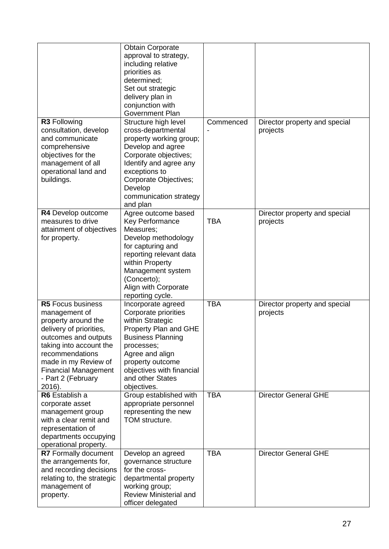|                                                                                                                                                                                                                                                   | <b>Obtain Corporate</b><br>approval to strategy,<br>including relative<br>priorities as<br>determined;<br>Set out strategic<br>delivery plan in<br>conjunction with<br><b>Government Plan</b>                                            |            |                                           |
|---------------------------------------------------------------------------------------------------------------------------------------------------------------------------------------------------------------------------------------------------|------------------------------------------------------------------------------------------------------------------------------------------------------------------------------------------------------------------------------------------|------------|-------------------------------------------|
| R3 Following<br>consultation, develop<br>and communicate<br>comprehensive<br>objectives for the<br>management of all<br>operational land and<br>buildings.                                                                                        | Structure high level<br>cross-departmental<br>property working group;<br>Develop and agree<br>Corporate objectives;<br>Identify and agree any<br>exceptions to<br>Corporate Objectives;<br>Develop<br>communication strategy<br>and plan | Commenced  | Director property and special<br>projects |
| R4 Develop outcome<br>measures to drive<br>attainment of objectives<br>for property.                                                                                                                                                              | Agree outcome based<br><b>Key Performance</b><br>Measures;<br>Develop methodology<br>for capturing and<br>reporting relevant data<br>within Property<br>Management system<br>(Concerto);<br>Align with Corporate<br>reporting cycle.     | <b>TBA</b> | Director property and special<br>projects |
| R5 Focus business<br>management of<br>property around the<br>delivery of priorities,<br>outcomes and outputs<br>taking into account the<br>recommendations<br>made in my Review of<br><b>Financial Management</b><br>- Part 2 (February<br>2016). | Incorporate agreed<br>Corporate priorities<br>within Strategic<br>Property Plan and GHE<br><b>Business Planning</b><br>processes;<br>Agree and align<br>property outcome<br>objectives with financial<br>and other States<br>objectives. | <b>TBA</b> | Director property and special<br>projects |
| <b>R6</b> Establish a<br>corporate asset<br>management group<br>with a clear remit and<br>representation of<br>departments occupying<br>operational property.                                                                                     | Group established with<br>appropriate personnel<br>representing the new<br>TOM structure.                                                                                                                                                | <b>TBA</b> | <b>Director General GHE</b>               |
| R7 Formally document<br>the arrangements for,<br>and recording decisions<br>relating to, the strategic<br>management of<br>property.                                                                                                              | Develop an agreed<br>governance structure<br>for the cross-<br>departmental property<br>working group;<br>Review Ministerial and<br>officer delegated                                                                                    | <b>TBA</b> | <b>Director General GHE</b>               |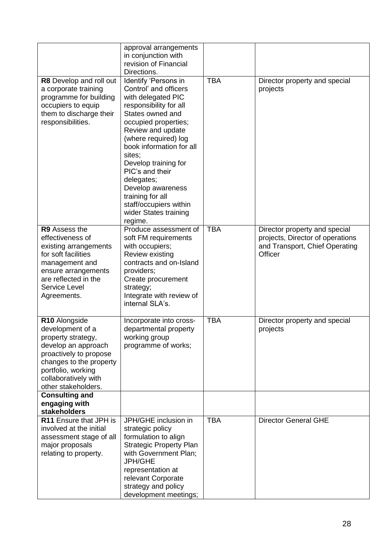|                                                   | approval arrangements<br>in conjunction with |            |                                  |
|---------------------------------------------------|----------------------------------------------|------------|----------------------------------|
|                                                   | revision of Financial                        |            |                                  |
|                                                   | Directions.                                  |            |                                  |
| R8 Develop and roll out                           | Identify 'Persons in                         | <b>TBA</b> | Director property and special    |
| a corporate training                              | Control' and officers                        |            | projects                         |
| programme for building                            | with delegated PIC                           |            |                                  |
| occupiers to equip                                | responsibility for all<br>States owned and   |            |                                  |
| them to discharge their<br>responsibilities.      | occupied properties;                         |            |                                  |
|                                                   | Review and update                            |            |                                  |
|                                                   | (where required) log                         |            |                                  |
|                                                   | book information for all<br>sites;           |            |                                  |
|                                                   | Develop training for                         |            |                                  |
|                                                   | PIC's and their                              |            |                                  |
|                                                   | delegates;                                   |            |                                  |
|                                                   | Develop awareness                            |            |                                  |
|                                                   | training for all<br>staff/occupiers within   |            |                                  |
|                                                   | wider States training                        |            |                                  |
|                                                   | regime.                                      |            |                                  |
| R9 Assess the                                     | Produce assessment of                        | <b>TBA</b> | Director property and special    |
| effectiveness of                                  | soft FM requirements                         |            | projects, Director of operations |
| existing arrangements                             | with occupiers;                              |            | and Transport, Chief Operating   |
| for soft facilities<br>management and             | Review existing<br>contracts and on-Island   |            | Officer                          |
| ensure arrangements                               | providers;                                   |            |                                  |
| are reflected in the                              | Create procurement                           |            |                                  |
| Service Level                                     | strategy;                                    |            |                                  |
| Agreements.                                       | Integrate with review of                     |            |                                  |
|                                                   | internal SLA's.                              |            |                                  |
| R10 Alongside                                     | Incorporate into cross-                      | <b>TBA</b> | Director property and special    |
| development of a                                  | departmental property                        |            | projects                         |
| property strategy,                                | working group                                |            |                                  |
| develop an approach                               | programme of works;                          |            |                                  |
| proactively to propose<br>changes to the property |                                              |            |                                  |
| portfolio, working                                |                                              |            |                                  |
| collaboratively with                              |                                              |            |                                  |
| other stakeholders.                               |                                              |            |                                  |
| <b>Consulting and</b>                             |                                              |            |                                  |
| engaging with                                     |                                              |            |                                  |
| stakeholders<br>R11 Ensure that JPH is            | JPH/GHE inclusion in                         | <b>TBA</b> | <b>Director General GHE</b>      |
| involved at the initial                           | strategic policy                             |            |                                  |
| assessment stage of all                           | formulation to align                         |            |                                  |
| major proposals                                   | <b>Strategic Property Plan</b>               |            |                                  |
| relating to property.                             | with Government Plan;                        |            |                                  |
|                                                   | <b>JPH/GHE</b>                               |            |                                  |
|                                                   | representation at                            |            |                                  |
|                                                   | relevant Corporate<br>strategy and policy    |            |                                  |
|                                                   | development meetings;                        |            |                                  |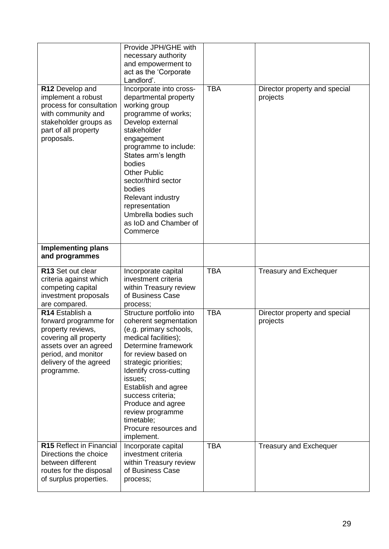| R12 Develop and<br>implement a robust<br>process for consultation<br>with community and<br>stakeholder groups as<br>part of all property<br>proposals.                                     | Provide JPH/GHE with<br>necessary authority<br>and empowerment to<br>act as the 'Corporate<br>Landlord'.<br>Incorporate into cross-<br>departmental property<br>working group<br>programme of works;<br>Develop external<br>stakeholder<br>engagement<br>programme to include:<br>States arm's length<br>bodies<br><b>Other Public</b><br>sector/third sector<br>bodies<br><b>Relevant industry</b><br>representation<br>Umbrella bodies such<br>as IoD and Chamber of | <b>TBA</b> | Director property and special<br>projects |
|--------------------------------------------------------------------------------------------------------------------------------------------------------------------------------------------|------------------------------------------------------------------------------------------------------------------------------------------------------------------------------------------------------------------------------------------------------------------------------------------------------------------------------------------------------------------------------------------------------------------------------------------------------------------------|------------|-------------------------------------------|
| <b>Implementing plans</b><br>and programmes                                                                                                                                                | Commerce                                                                                                                                                                                                                                                                                                                                                                                                                                                               |            |                                           |
|                                                                                                                                                                                            |                                                                                                                                                                                                                                                                                                                                                                                                                                                                        |            |                                           |
| R13 Set out clear<br>criteria against which<br>competing capital<br>investment proposals<br>are compared.                                                                                  | Incorporate capital<br>investment criteria<br>within Treasury review<br>of Business Case<br>process;                                                                                                                                                                                                                                                                                                                                                                   | <b>TBA</b> | <b>Treasury and Exchequer</b>             |
| R <sub>14</sub> Establish a<br>forward programme for<br>property reviews,<br>covering all property<br>assets over an agreed<br>period, and monitor<br>delivery of the agreed<br>programme. | Structure portfolio into<br>coherent segmentation<br>(e.g. primary schools,<br>medical facilities);<br>Determine framework<br>for review based on<br>strategic priorities;<br>Identify cross-cutting<br>issues;<br>Establish and agree<br>success criteria;<br>Produce and agree<br>review programme<br>timetable;<br>Procure resources and<br>implement.                                                                                                              | <b>TBA</b> | Director property and special<br>projects |
| R15 Reflect in Financial<br>Directions the choice<br>between different<br>routes for the disposal<br>of surplus properties.                                                                | Incorporate capital<br>investment criteria<br>within Treasury review<br>of Business Case<br>process;                                                                                                                                                                                                                                                                                                                                                                   | <b>TBA</b> | <b>Treasury and Exchequer</b>             |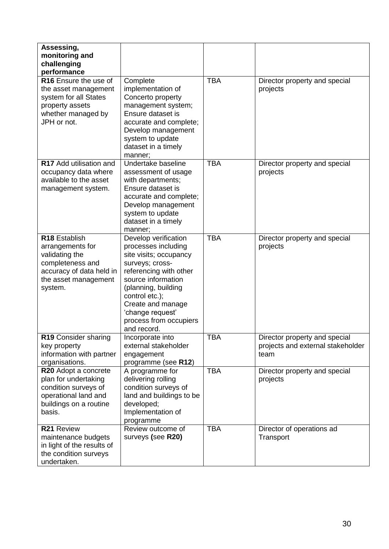| Assessing,<br>monitoring and<br>challenging<br>performance                                                                             |                                                                                                                                                                                                                                                                     |            |                                                                            |
|----------------------------------------------------------------------------------------------------------------------------------------|---------------------------------------------------------------------------------------------------------------------------------------------------------------------------------------------------------------------------------------------------------------------|------------|----------------------------------------------------------------------------|
| R16 Ensure the use of<br>the asset management<br>system for all States<br>property assets<br>whether managed by<br>JPH or not.         | Complete<br>implementation of<br>Concerto property<br>management system;<br>Ensure dataset is<br>accurate and complete;<br>Develop management<br>system to update<br>dataset in a timely<br>manner;                                                                 | <b>TBA</b> | Director property and special<br>projects                                  |
| R17 Add utilisation and<br>occupancy data where<br>available to the asset<br>management system.                                        | Undertake baseline<br>assessment of usage<br>with departments;<br>Ensure dataset is<br>accurate and complete;<br>Develop management<br>system to update<br>dataset in a timely<br>manner;                                                                           | <b>TBA</b> | Director property and special<br>projects                                  |
| R18 Establish<br>arrangements for<br>validating the<br>completeness and<br>accuracy of data held in<br>the asset management<br>system. | Develop verification<br>processes including<br>site visits; occupancy<br>surveys; cross-<br>referencing with other<br>source information<br>(planning, building<br>control etc.);<br>Create and manage<br>'change request'<br>process from occupiers<br>and record. | <b>TBA</b> | Director property and special<br>projects                                  |
| R19 Consider sharing<br>key property<br>information with partner<br>organisations.                                                     | Incorporate into<br>external stakeholder<br>engagement<br>programme (see R12)                                                                                                                                                                                       | TBA        | Director property and special<br>projects and external stakeholder<br>team |
| R20 Adopt a concrete<br>plan for undertaking<br>condition surveys of<br>operational land and<br>buildings on a routine<br>basis.       | A programme for<br>delivering rolling<br>condition surveys of<br>land and buildings to be<br>developed;<br>Implementation of<br>programme                                                                                                                           | <b>TBA</b> | Director property and special<br>projects                                  |
| R21 Review<br>maintenance budgets<br>in light of the results of<br>the condition surveys<br>undertaken.                                | Review outcome of<br>surveys (see R20)                                                                                                                                                                                                                              | <b>TBA</b> | Director of operations ad<br>Transport                                     |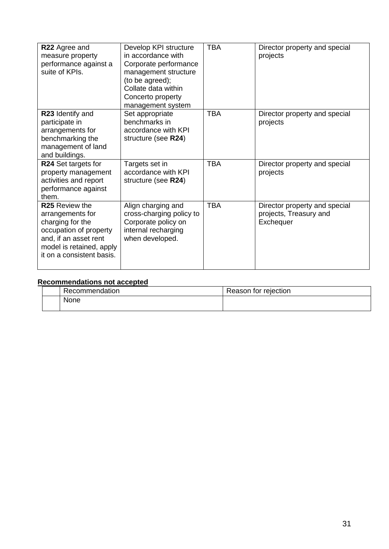| R22 Agree and<br>measure property<br>performance against a<br>suite of KPIs.                                                                                              | Develop KPI structure<br>in accordance with<br>Corporate performance<br>management structure<br>(to be agreed);<br>Collate data within<br>Concerto property<br>management system | <b>TBA</b> | Director property and special<br>projects                            |
|---------------------------------------------------------------------------------------------------------------------------------------------------------------------------|----------------------------------------------------------------------------------------------------------------------------------------------------------------------------------|------------|----------------------------------------------------------------------|
| R23 Identify and<br>participate in<br>arrangements for<br>benchmarking the<br>management of land<br>and buildings.                                                        | Set appropriate<br>benchmarks in<br>accordance with KPI<br>structure (see R24)                                                                                                   | <b>TBA</b> | Director property and special<br>projects                            |
| R24 Set targets for<br>property management<br>activities and report<br>performance against<br>them.                                                                       | Targets set in<br>accordance with KPI<br>structure (see R24)                                                                                                                     | <b>TBA</b> | Director property and special<br>projects                            |
| <b>R25</b> Review the<br>arrangements for<br>charging for the<br>occupation of property<br>and, if an asset rent<br>model is retained, apply<br>it on a consistent basis. | Align charging and<br>cross-charging policy to<br>Corporate policy on<br>internal recharging<br>when developed.                                                                  | <b>TBA</b> | Director property and special<br>projects, Treasury and<br>Exchequer |

# **Recommendations not accepted**

| Recommendation | Reason for rejection |
|----------------|----------------------|
| None           |                      |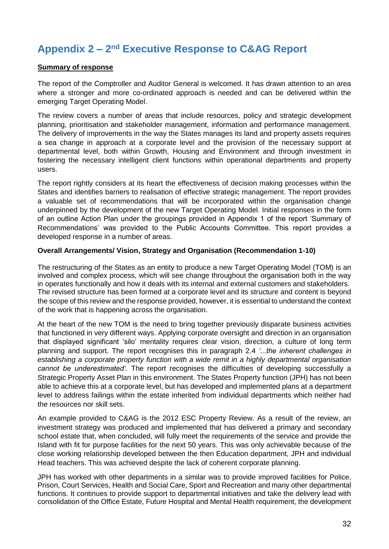# <span id="page-34-0"></span>Appendix 2 – 2<sup>nd</sup> Executive Response to C&AG Report

#### **Summary of response**

The report of the Comptroller and Auditor General is welcomed. It has drawn attention to an area where a stronger and more co-ordinated approach is needed and can be delivered within the emerging Target Operating Model.

The review covers a number of areas that include resources, policy and strategic development planning, prioritisation and stakeholder management, information and performance management. The delivery of improvements in the way the States manages its land and property assets requires a sea change in approach at a corporate level and the provision of the necessary support at departmental level, both within Growth, Housing and Environment and through investment in fostering the necessary intelligent client functions within operational departments and property users.

The report rightly considers at its heart the effectiveness of decision making processes within the States and identifies barriers to realisation of effective strategic management. The report provides a valuable set of recommendations that will be incorporated within the organisation change underpinned by the development of the new Target Operating Model. Initial responses in the form of an outline Action Plan under the groupings provided in Appendix 1 of the report 'Summary of Recommendations' was provided to the Public Accounts Committee. This report provides a developed response in a number of areas.

#### **Overall Arrangements/ Vision, Strategy and Organisation (Recommendation 1-10)**

The restructuring of the States as an entity to produce a new Target Operating Model (TOM) is an involved and complex process, which will see change throughout the organisation both in the way in operates functionally and how it deals with its internal and external customers and stakeholders. The revised structure has been formed at a corporate level and its structure and content is beyond the scope of this review and the response provided, however, it is essential to understand the context of the work that is happening across the organisation.

At the heart of the new TOM is the need to bring together previously disparate business activities that functioned in very different ways. Applying corporate oversight and direction in an organisation that displayed significant 'silo' mentality requires clear vision, direction, a culture of long term planning and support. The report recognises this in paragraph 2.4 *'...the inherent challenges in establishing a corporate property function with a wide remit in a highly departmental organisation cannot be underestimated'*. The report recognises the difficulties of developing successfully a Strategic Property Asset Plan in this environment. The States Property function (JPH) has not been able to achieve this at a corporate level, but has developed and implemented plans at a department level to address failings within the estate inherited from individual departments which neither had the resources nor skill sets.

An example provided to C&AG is the 2012 ESC Property Review. As a result of the review, an investment strategy was produced and implemented that has delivered a primary and secondary school estate that, when concluded, will fully meet the requirements of the service and provide the Island with fit for purpose facilities for the next 50 years. This was only achievable because of the close working relationship developed between the then Education department, JPH and individual Head teachers. This was achieved despite the lack of coherent corporate planning.

JPH has worked with other departments in a similar was to provide improved facilities for Police, Prison, Court Services, Health and Social Care, Sport and Recreation and many other departmental functions. It continues to provide support to departmental initiatives and take the delivery lead with consolidation of the Office Estate, Future Hospital and Mental Health requirement, the development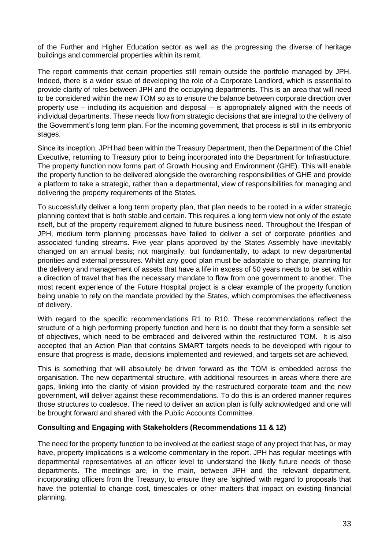of the Further and Higher Education sector as well as the progressing the diverse of heritage buildings and commercial properties within its remit.

The report comments that certain properties still remain outside the portfolio managed by JPH. Indeed, there is a wider issue of developing the role of a Corporate Landlord, which is essential to provide clarity of roles between JPH and the occupying departments. This is an area that will need to be considered within the new TOM so as to ensure the balance between corporate direction over property use – including its acquisition and disposal – is appropriately aligned with the needs of individual departments. These needs flow from strategic decisions that are integral to the delivery of the Government's long term plan. For the incoming government, that process is still in its embryonic stages.

Since its inception, JPH had been within the Treasury Department, then the Department of the Chief Executive, returning to Treasury prior to being incorporated into the Department for Infrastructure. The property function now forms part of Growth Housing and Environment (GHE). This will enable the property function to be delivered alongside the overarching responsibilities of GHE and provide a platform to take a strategic, rather than a departmental, view of responsibilities for managing and delivering the property requirements of the States.

To successfully deliver a long term property plan, that plan needs to be rooted in a wider strategic planning context that is both stable and certain. This requires a long term view not only of the estate itself, but of the property requirement aligned to future business need. Throughout the lifespan of JPH, medium term planning processes have failed to deliver a set of corporate priorities and associated funding streams. Five year plans approved by the States Assembly have inevitably changed on an annual basis; not marginally, but fundamentally, to adapt to new departmental priorities and external pressures. Whilst any good plan must be adaptable to change, planning for the delivery and management of assets that have a life in excess of 50 years needs to be set within a direction of travel that has the necessary mandate to flow from one government to another. The most recent experience of the Future Hospital project is a clear example of the property function being unable to rely on the mandate provided by the States, which compromises the effectiveness of delivery.

With regard to the specific recommendations R1 to R10. These recommendations reflect the structure of a high performing property function and here is no doubt that they form a sensible set of objectives, which need to be embraced and delivered within the restructured TOM. It is also accepted that an Action Plan that contains SMART targets needs to be developed with rigour to ensure that progress is made, decisions implemented and reviewed, and targets set are achieved.

This is something that will absolutely be driven forward as the TOM is embedded across the organisation. The new departmental structure, with additional resources in areas where there are gaps, linking into the clarity of vision provided by the restructured corporate team and the new government, will deliver against these recommendations. To do this is an ordered manner requires those structures to coalesce. The need to deliver an action plan is fully acknowledged and one will be brought forward and shared with the Public Accounts Committee.

# **Consulting and Engaging with Stakeholders (Recommendations 11 & 12)**

The need for the property function to be involved at the earliest stage of any project that has, or may have, property implications is a welcome commentary in the report. JPH has regular meetings with departmental representatives at an officer level to understand the likely future needs of those departments. The meetings are, in the main, between JPH and the relevant department, incorporating officers from the Treasury, to ensure they are 'sighted' with regard to proposals that have the potential to change cost, timescales or other matters that impact on existing financial planning.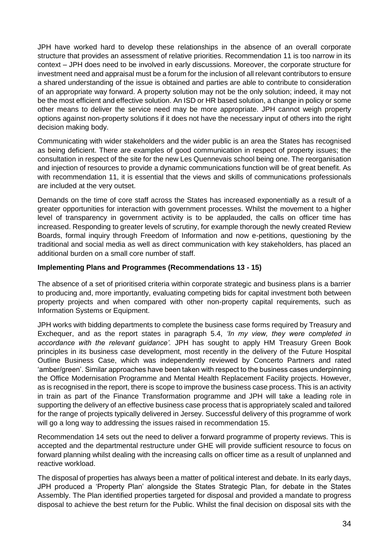JPH have worked hard to develop these relationships in the absence of an overall corporate structure that provides an assessment of relative priorities. Recommendation 11 is too narrow in its context – JPH does need to be involved in early discussions. Moreover, the corporate structure for investment need and appraisal must be a forum for the inclusion of all relevant contributors to ensure a shared understanding of the issue is obtained and parties are able to contribute to consideration of an appropriate way forward. A property solution may not be the only solution; indeed, it may not be the most efficient and effective solution. An ISD or HR based solution, a change in policy or some other means to deliver the service need may be more appropriate. JPH cannot weigh property options against non-property solutions if it does not have the necessary input of others into the right decision making body.

Communicating with wider stakeholders and the wider public is an area the States has recognised as being deficient. There are examples of good communication in respect of property issues; the consultation in respect of the site for the new Les Quennevais school being one. The reorganisation and injection of resources to provide a dynamic communications function will be of great benefit. As with recommendation 11, it is essential that the views and skills of communications professionals are included at the very outset.

Demands on the time of core staff across the States has increased exponentially as a result of a greater opportunities for interaction with government processes. Whilst the movement to a higher level of transparency in government activity is to be applauded, the calls on officer time has increased. Responding to greater levels of scrutiny, for example thorough the newly created Review Boards, formal inquiry through Freedom of Information and now e-petitions, questioning by the traditional and social media as well as direct communication with key stakeholders, has placed an additional burden on a small core number of staff.

# **Implementing Plans and Programmes (Recommendations 13 - 15)**

The absence of a set of prioritised criteria within corporate strategic and business plans is a barrier to producing and, more importantly, evaluating competing bids for capital investment both between property projects and when compared with other non-property capital requirements, such as Information Systems or Equipment.

JPH works with bidding departments to complete the business case forms required by Treasury and Exchequer, and as the report states in paragraph 5.4, *'In my view, they were completed in accordance with the relevant guidance'.* JPH has sought to apply HM Treasury Green Book principles in its business case development, most recently in the delivery of the Future Hospital Outline Business Case, which was independently reviewed by Concerto Partners and rated 'amber/green'. Similar approaches have been taken with respect to the business cases underpinning the Office Modernisation Programme and Mental Health Replacement Facility projects. However, as is recognised in the report, there is scope to improve the business case process. This is an activity in train as part of the Finance Transformation programme and JPH will take a leading role in supporting the delivery of an effective business case process that is appropriately scaled and tailored for the range of projects typically delivered in Jersey. Successful delivery of this programme of work will go a long way to addressing the issues raised in recommendation 15.

Recommendation 14 sets out the need to deliver a forward programme of property reviews. This is accepted and the departmental restructure under GHE will provide sufficient resource to focus on forward planning whilst dealing with the increasing calls on officer time as a result of unplanned and reactive workload.

The disposal of properties has always been a matter of political interest and debate. In its early days, JPH produced a 'Property Plan' alongside the States Strategic Plan, for debate in the States Assembly. The Plan identified properties targeted for disposal and provided a mandate to progress disposal to achieve the best return for the Public. Whilst the final decision on disposal sits with the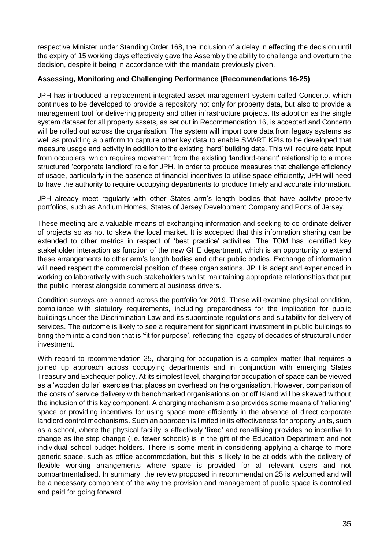respective Minister under Standing Order 168, the inclusion of a delay in effecting the decision until the expiry of 15 working days effectively gave the Assembly the ability to challenge and overturn the decision, despite it being in accordance with the mandate previously given.

# **Assessing, Monitoring and Challenging Performance (Recommendations 16-25)**

JPH has introduced a replacement integrated asset management system called Concerto, which continues to be developed to provide a repository not only for property data, but also to provide a management tool for delivering property and other infrastructure projects. Its adoption as the single system dataset for all property assets, as set out in Recommendation 16, is accepted and Concerto will be rolled out across the organisation. The system will import core data from legacy systems as well as providing a platform to capture other key data to enable SMART KPIs to be developed that measure usage and activity in addition to the existing 'hard' building data. This will require data input from occupiers, which requires movement from the existing 'landlord-tenant' relationship to a more structured 'corporate landlord' role for JPH. In order to produce measures that challenge efficiency of usage, particularly in the absence of financial incentives to utilise space efficiently, JPH will need to have the authority to require occupying departments to produce timely and accurate information.

JPH already meet regularly with other States arm's length bodies that have activity property portfolios, such as Andium Homes, States of Jersey Development Company and Ports of Jersey.

These meeting are a valuable means of exchanging information and seeking to co-ordinate deliver of projects so as not to skew the local market. It is accepted that this information sharing can be extended to other metrics in respect of 'best practice' activities. The TOM has identified key stakeholder interaction as function of the new GHE department, which is an opportunity to extend these arrangements to other arm's length bodies and other public bodies. Exchange of information will need respect the commercial position of these organisations. JPH is adept and experienced in working collaboratively with such stakeholders whilst maintaining appropriate relationships that put the public interest alongside commercial business drivers.

Condition surveys are planned across the portfolio for 2019. These will examine physical condition, compliance with statutory requirements, including preparedness for the implication for public buildings under the Discrimination Law and its subordinate regulations and suitability for delivery of services. The outcome is likely to see a requirement for significant investment in public buildings to bring them into a condition that is 'fit for purpose', reflecting the legacy of decades of structural under investment.

With regard to recommendation 25, charging for occupation is a complex matter that requires a joined up approach across occupying departments and in conjunction with emerging States Treasury and Exchequer policy. At its simplest level, charging for occupation of space can be viewed as a 'wooden dollar' exercise that places an overhead on the organisation. However, comparison of the costs of service delivery with benchmarked organisations on or off Island will be skewed without the inclusion of this key component. A charging mechanism also provides some means of 'rationing' space or providing incentives for using space more efficiently in the absence of direct corporate landlord control mechanisms. Such an approach is limited in its effectiveness for property units, such as a school, where the physical facility is effectively 'fixed' and renatlising provides no incentive to change as the step change (i.e. fewer schools) is in the gift of the Education Department and not individual school budget holders. There is some merit in considering applying a charge to more generic space, such as office accommodation, but this is likely to be at odds with the delivery of flexible working arrangements where space is provided for all relevant users and not compartmentalised. In summary, the review proposed in recommendation 25 is welcomed and will be a necessary component of the way the provision and management of public space is controlled and paid for going forward.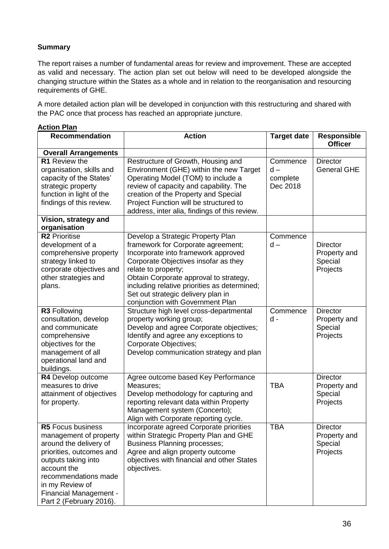# **Summary**

The report raises a number of fundamental areas for review and improvement. These are accepted as valid and necessary. The action plan set out below will need to be developed alongside the changing structure within the States as a whole and in relation to the reorganisation and resourcing requirements of GHE.

A more detailed action plan will be developed in conjunction with this restructuring and shared with the PAC once that process has reached an appropriate juncture.

| <b>Action Plan</b>                                                                                                                                                                                                                             |                                                                                                                                                                                                                                                                                                                                                   |                                           |                                                        |
|------------------------------------------------------------------------------------------------------------------------------------------------------------------------------------------------------------------------------------------------|---------------------------------------------------------------------------------------------------------------------------------------------------------------------------------------------------------------------------------------------------------------------------------------------------------------------------------------------------|-------------------------------------------|--------------------------------------------------------|
| <b>Recommendation</b>                                                                                                                                                                                                                          | <b>Action</b>                                                                                                                                                                                                                                                                                                                                     | <b>Target date</b>                        | <b>Responsible</b><br><b>Officer</b>                   |
| <b>Overall Arrangements</b>                                                                                                                                                                                                                    |                                                                                                                                                                                                                                                                                                                                                   |                                           |                                                        |
| <b>R1</b> Review the<br>organisation, skills and<br>capacity of the States'<br>strategic property<br>function in light of the<br>findings of this review.                                                                                      | Restructure of Growth, Housing and<br>Environment (GHE) within the new Target<br>Operating Model (TOM) to include a<br>review of capacity and capability. The<br>creation of the Property and Special<br>Project Function will be structured to<br>address, inter alia, findings of this review.                                                  | Commence<br>$d -$<br>complete<br>Dec 2018 | <b>Director</b><br><b>General GHE</b>                  |
| Vision, strategy and<br>organisation                                                                                                                                                                                                           |                                                                                                                                                                                                                                                                                                                                                   |                                           |                                                        |
| <b>R2</b> Prioritise<br>development of a<br>comprehensive property<br>strategy linked to<br>corporate objectives and<br>other strategies and<br>plans.                                                                                         | Develop a Strategic Property Plan<br>framework for Corporate agreement;<br>Incorporate into framework approved<br>Corporate Objectives insofar as they<br>relate to property;<br>Obtain Corporate approval to strategy,<br>including relative priorities as determined;<br>Set out strategic delivery plan in<br>conjunction with Government Plan | Commence<br>$d -$                         | <b>Director</b><br>Property and<br>Special<br>Projects |
| R3 Following<br>consultation, develop<br>and communicate<br>comprehensive<br>objectives for the<br>management of all<br>operational land and<br>buildings.                                                                                     | Structure high level cross-departmental<br>property working group;<br>Develop and agree Corporate objectives;<br>Identify and agree any exceptions to<br>Corporate Objectives;<br>Develop communication strategy and plan                                                                                                                         | Commence<br>$d -$                         | <b>Director</b><br>Property and<br>Special<br>Projects |
| R4 Develop outcome<br>measures to drive<br>attainment of objectives<br>for property.                                                                                                                                                           | Agree outcome based Key Performance<br>Measures;<br>Develop methodology for capturing and<br>reporting relevant data within Property<br>Management system (Concerto);<br>Align with Corporate reporting cycle.                                                                                                                                    | <b>TBA</b>                                | <b>Director</b><br>Property and<br>Special<br>Projects |
| <b>R5</b> Focus business<br>management of property<br>around the delivery of<br>priorities, outcomes and<br>outputs taking into<br>account the<br>recommendations made<br>in my Review of<br>Financial Management -<br>Part 2 (February 2016). | Incorporate agreed Corporate priorities<br>within Strategic Property Plan and GHE<br><b>Business Planning processes;</b><br>Agree and align property outcome<br>objectives with financial and other States<br>objectives.                                                                                                                         | <b>TBA</b>                                | <b>Director</b><br>Property and<br>Special<br>Projects |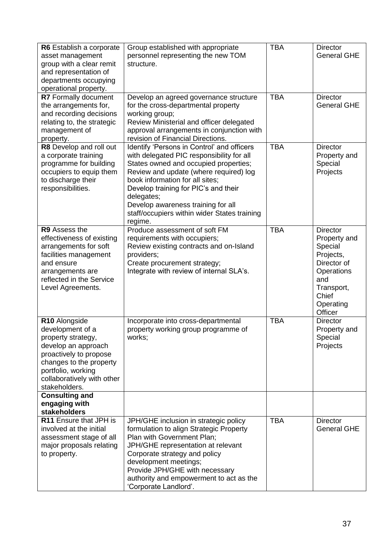| R6 Establish a corporate<br>asset management<br>group with a clear remit<br>and representation of<br>departments occupying<br>operational property.                                                      | Group established with appropriate<br>personnel representing the new TOM<br>structure.                                                                                                                                                                                                                                                                               | <b>TBA</b> | <b>Director</b><br><b>General GHE</b>                                                                                                      |
|----------------------------------------------------------------------------------------------------------------------------------------------------------------------------------------------------------|----------------------------------------------------------------------------------------------------------------------------------------------------------------------------------------------------------------------------------------------------------------------------------------------------------------------------------------------------------------------|------------|--------------------------------------------------------------------------------------------------------------------------------------------|
| R7 Formally document<br>the arrangements for,<br>and recording decisions<br>relating to, the strategic<br>management of<br>property.                                                                     | Develop an agreed governance structure<br>for the cross-departmental property<br>working group;<br>Review Ministerial and officer delegated<br>approval arrangements in conjunction with<br>revision of Financial Directions.                                                                                                                                        | <b>TBA</b> | <b>Director</b><br><b>General GHE</b>                                                                                                      |
| R8 Develop and roll out<br>a corporate training<br>programme for building<br>occupiers to equip them<br>to discharge their<br>responsibilities.                                                          | Identify 'Persons in Control' and officers<br>with delegated PIC responsibility for all<br>States owned and occupied properties;<br>Review and update (where required) log<br>book information for all sites;<br>Develop training for PIC's and their<br>delegates;<br>Develop awareness training for all<br>staff/occupiers within wider States training<br>regime. |            | <b>Director</b><br>Property and<br>Special<br>Projects                                                                                     |
| R9 Assess the<br>effectiveness of existing<br>arrangements for soft<br>facilities management<br>and ensure<br>arrangements are<br>reflected in the Service<br>Level Agreements.                          | Produce assessment of soft FM<br>requirements with occupiers;<br>Review existing contracts and on-Island<br>providers;<br>Create procurement strategy;<br>Integrate with review of internal SLA's.                                                                                                                                                                   | <b>TBA</b> | <b>Director</b><br>Property and<br>Special<br>Projects,<br>Director of<br>Operations<br>and<br>Transport,<br>Chief<br>Operating<br>Officer |
| R10 Alongside<br>development of a<br>property strategy,<br>develop an approach<br>proactively to propose<br>changes to the property<br>portfolio, working<br>collaboratively with other<br>stakeholders. | Incorporate into cross-departmental<br>property working group programme of<br>works;                                                                                                                                                                                                                                                                                 | <b>TBA</b> | <b>Director</b><br>Property and<br>Special<br>Projects                                                                                     |
| <b>Consulting and</b><br>engaging with<br>stakeholders                                                                                                                                                   |                                                                                                                                                                                                                                                                                                                                                                      |            |                                                                                                                                            |
| <b>R11</b> Ensure that JPH is<br>involved at the initial<br>assessment stage of all<br>major proposals relating<br>to property.                                                                          | JPH/GHE inclusion in strategic policy<br>formulation to align Strategic Property<br>Plan with Government Plan;<br>JPH/GHE representation at relevant<br>Corporate strategy and policy<br>development meetings;<br>Provide JPH/GHE with necessary<br>authority and empowerment to act as the<br>'Corporate Landlord'.                                                 | <b>TBA</b> | <b>Director</b><br><b>General GHE</b>                                                                                                      |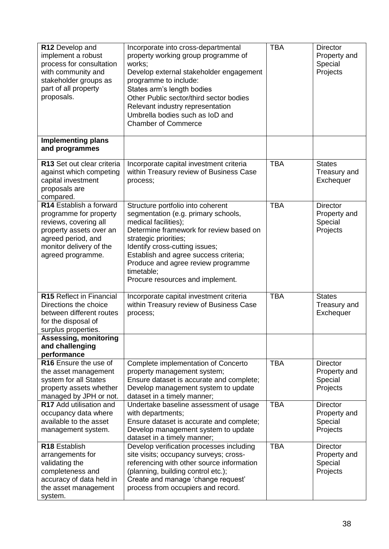| R12 Develop and<br>implement a robust<br>process for consultation<br>with community and<br>stakeholder groups as<br>part of all property<br>proposals.                                                                                                                                                                                                                                                                                                                                                                 | Incorporate into cross-departmental<br>property working group programme of<br>works;<br>Develop external stakeholder engagement<br>programme to include:<br>States arm's length bodies<br>Other Public sector/third sector bodies<br>Relevant industry representation<br>Umbrella bodies such as IoD and<br><b>Chamber of Commerce</b> | <b>TBA</b> | <b>Director</b><br>Property and<br>Special<br>Projects |
|------------------------------------------------------------------------------------------------------------------------------------------------------------------------------------------------------------------------------------------------------------------------------------------------------------------------------------------------------------------------------------------------------------------------------------------------------------------------------------------------------------------------|----------------------------------------------------------------------------------------------------------------------------------------------------------------------------------------------------------------------------------------------------------------------------------------------------------------------------------------|------------|--------------------------------------------------------|
| <b>Implementing plans</b><br>and programmes                                                                                                                                                                                                                                                                                                                                                                                                                                                                            |                                                                                                                                                                                                                                                                                                                                        |            |                                                        |
| R13 Set out clear criteria<br>against which competing<br>capital investment<br>proposals are<br>compared.                                                                                                                                                                                                                                                                                                                                                                                                              | Incorporate capital investment criteria<br>within Treasury review of Business Case<br>process;                                                                                                                                                                                                                                         | <b>TBA</b> | <b>States</b><br>Treasury and<br>Exchequer             |
| R14 Establish a forward<br>Structure portfolio into coherent<br>programme for property<br>segmentation (e.g. primary schools,<br>medical facilities);<br>reviews, covering all<br>Determine framework for review based on<br>property assets over an<br>agreed period, and<br>strategic priorities;<br>monitor delivery of the<br>Identify cross-cutting issues;<br>Establish and agree success criteria;<br>agreed programme.<br>Produce and agree review programme<br>timetable;<br>Procure resources and implement. |                                                                                                                                                                                                                                                                                                                                        | <b>TBA</b> | <b>Director</b><br>Property and<br>Special<br>Projects |
| R15 Reflect in Financial<br>Directions the choice<br>between different routes<br>for the disposal of<br>surplus properties.                                                                                                                                                                                                                                                                                                                                                                                            | Incorporate capital investment criteria<br>within Treasury review of Business Case<br>process;                                                                                                                                                                                                                                         |            | <b>States</b><br>Treasury and<br>Exchequer             |
| <b>Assessing, monitoring</b><br>and challenging<br>performance                                                                                                                                                                                                                                                                                                                                                                                                                                                         |                                                                                                                                                                                                                                                                                                                                        |            |                                                        |
| R16 Ensure the use of<br>the asset management<br>system for all States<br>property assets whether<br>managed by JPH or not.                                                                                                                                                                                                                                                                                                                                                                                            | Complete implementation of Concerto<br>property management system;<br>Ensure dataset is accurate and complete;<br>Develop management system to update<br>dataset in a timely manner;                                                                                                                                                   |            | <b>Director</b><br>Property and<br>Special<br>Projects |
| R17 Add utilisation and<br>occupancy data where<br>available to the asset<br>management system.                                                                                                                                                                                                                                                                                                                                                                                                                        | Undertake baseline assessment of usage<br>with departments;<br>Ensure dataset is accurate and complete;<br>Develop management system to update<br>dataset in a timely manner;                                                                                                                                                          | <b>TBA</b> | <b>Director</b><br>Property and<br>Special<br>Projects |
| R18 Establish<br>Develop verification processes including<br>site visits; occupancy surveys; cross-<br>arrangements for<br>validating the<br>referencing with other source information<br>completeness and<br>(planning, building control etc.);<br>Create and manage 'change request'<br>accuracy of data held in<br>process from occupiers and record.<br>the asset management<br>system.                                                                                                                            |                                                                                                                                                                                                                                                                                                                                        | <b>TBA</b> | <b>Director</b><br>Property and<br>Special<br>Projects |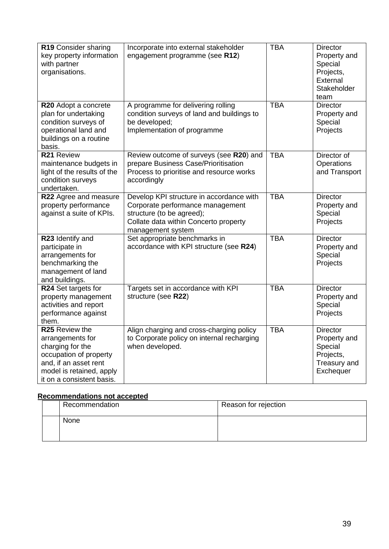| R19 Consider sharing<br>key property information<br>with partner<br>organisations.                                                                                 | Incorporate into external stakeholder<br>engagement programme (see R12)                                                                                                 | <b>TBA</b> | <b>Director</b><br>Property and<br>Special<br>Projects,<br>External<br>Stakeholder<br>team |
|--------------------------------------------------------------------------------------------------------------------------------------------------------------------|-------------------------------------------------------------------------------------------------------------------------------------------------------------------------|------------|--------------------------------------------------------------------------------------------|
| R20 Adopt a concrete<br>plan for undertaking<br>condition surveys of<br>operational land and<br>buildings on a routine<br>basis.                                   | A programme for delivering rolling<br>condition surveys of land and buildings to<br>be developed;<br>Implementation of programme                                        | <b>TBA</b> | <b>Director</b><br>Property and<br>Special<br>Projects                                     |
| R <sub>21</sub> Review<br>maintenance budgets in<br>light of the results of the<br>condition surveys<br>undertaken.                                                | Review outcome of surveys (see R20) and<br>prepare Business Case/Prioritisation<br>Process to prioritise and resource works<br>accordingly                              | <b>TBA</b> | Director of<br>Operations<br>and Transport                                                 |
| R22 Agree and measure<br>property performance<br>against a suite of KPIs.                                                                                          | Develop KPI structure in accordance with<br>Corporate performance management<br>structure (to be agreed);<br>Collate data within Concerto property<br>management system | <b>TBA</b> | <b>Director</b><br>Property and<br>Special<br>Projects                                     |
| R23 Identify and<br>participate in<br>arrangements for<br>benchmarking the<br>management of land<br>and buildings.                                                 | Set appropriate benchmarks in<br>accordance with KPI structure (see R24)                                                                                                | <b>TBA</b> | <b>Director</b><br>Property and<br>Special<br>Projects                                     |
| R24 Set targets for<br>property management<br>activities and report<br>performance against<br>them.                                                                | Targets set in accordance with KPI<br>structure (see R22)                                                                                                               | <b>TBA</b> | <b>Director</b><br>Property and<br>Special<br>Projects                                     |
| R25 Review the<br>arrangements for<br>charging for the<br>occupation of property<br>and, if an asset rent<br>model is retained, apply<br>it on a consistent basis. | Align charging and cross-charging policy<br>to Corporate policy on internal recharging<br>when developed.                                                               | <b>TBA</b> | <b>Director</b><br>Property and<br>Special<br>Projects,<br>Treasury and<br>Exchequer       |

# **Recommendations not accepted**

|  | Recommendation | Reason for rejection |
|--|----------------|----------------------|
|  | None           |                      |
|  |                |                      |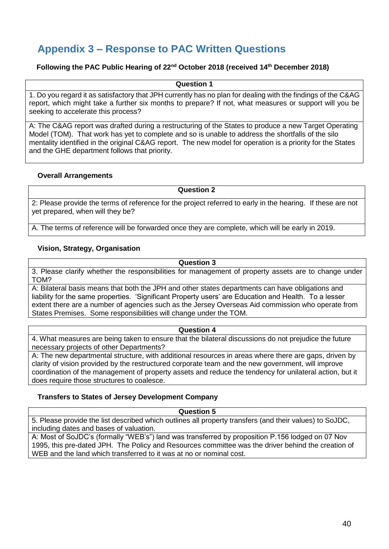# <span id="page-42-0"></span>**Appendix 3 – Response to PAC Written Questions**

# **Following the PAC Public Hearing of 22nd October 2018 (received 14th December 2018)**

#### **Question 1**

1. Do you regard it as satisfactory that JPH currently has no plan for dealing with the findings of the C&AG report, which might take a further six months to prepare? If not, what measures or support will you be seeking to accelerate this process?

A: The C&AG report was drafted during a restructuring of the States to produce a new Target Operating Model (TOM). That work has yet to complete and so is unable to address the shortfalls of the silo mentality identified in the original C&AG report. The new model for operation is a priority for the States and the GHE department follows that priority.

#### **Overall Arrangements**

**Question 2** 

2: Please provide the terms of reference for the project referred to early in the hearing. If these are not yet prepared, when will they be?

A. The terms of reference will be forwarded once they are complete, which will be early in 2019.

# **Vision, Strategy, Organisation**

**Question 3**

3. Please clarify whether the responsibilities for management of property assets are to change under TOM?

A: Bilateral basis means that both the JPH and other states departments can have obligations and liability for the same properties. 'Significant Property users' are Education and Health. To a lesser extent there are a number of agencies such as the Jersey Overseas Aid commission who operate from States Premises. Some responsibilities will change under the TOM.

#### **Question 4**

4. What measures are being taken to ensure that the bilateral discussions do not prejudice the future necessary projects of other Departments?

A: The new departmental structure, with additional resources in areas where there are gaps, driven by clarity of vision provided by the restructured corporate team and the new government, will improve coordination of the management of property assets and reduce the tendency for unilateral action, but it does require those structures to coalesce.

# **Transfers to States of Jersey Development Company**

#### **Question 5**

5. Please provide the list described which outlines all property transfers (and their values) to SoJDC, including dates and bases of valuation.

A: Most of SoJDC's (formally "WEB's") land was transferred by proposition P.156 lodged on 07 Nov 1995, this pre-dated JPH. The Policy and Resources committee was the driver behind the creation of WEB and the land which transferred to it was at no or nominal cost.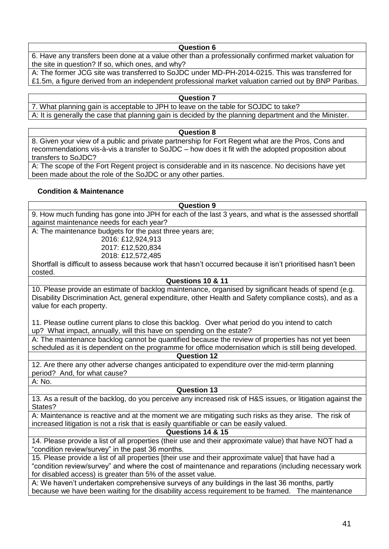# **Question 6**

6. Have any transfers been done at a value other than a professionally confirmed market valuation for the site in question? If so, which ones, and why?

A: The former JCG site was transferred to SoJDC under MD-PH-2014-0215. This was transferred for £1.5m, a figure derived from an independent professional market valuation carried out by BNP Paribas.

#### **Question 7**

7. What planning gain is acceptable to JPH to leave on the table for SOJDC to take?

A: It is generally the case that planning gain is decided by the planning department and the Minister.

# **Question 8**

8. Given your view of a public and private partnership for Fort Regent what are the Pros, Cons and recommendations vis-à-vis a transfer to SoJDC – how does it fit with the adopted proposition about transfers to SoJDC?

A: The scope of the Fort Regent project is considerable and in its nascence. No decisions have yet been made about the role of the SoJDC or any other parties.

# **Condition & Maintenance**

**Question 9**

9. How much funding has gone into JPH for each of the last 3 years, and what is the assessed shortfall against maintenance needs for each year?

A: The maintenance budgets for the past three years are;

2016: £12,924,913 2017: £12,520,834

2018: £12,572,485

Shortfall is difficult to assess because work that hasn't occurred because it isn't prioritised hasn't been costed.

# **Questions 10 & 11**

10. Please provide an estimate of backlog maintenance, organised by significant heads of spend (e.g. Disability Discrimination Act, general expenditure, other Health and Safety compliance costs), and as a value for each property.

11. Please outline current plans to close this backlog. Over what period do you intend to catch up? What impact, annually, will this have on spending on the estate?

A: The maintenance backlog cannot be quantified because the review of properties has not yet been scheduled as it is dependent on the programme for office modernisation which is still being developed.

**Question 12**

12. Are there any other adverse changes anticipated to expenditure over the mid-term planning period? And, for what cause?

A: No.

# **Question 13**

13. As a result of the backlog, do you perceive any increased risk of H&S issues, or litigation against the States?

A: Maintenance is reactive and at the moment we are mitigating such risks as they arise. The risk of increased litigation is not a risk that is easily quantifiable or can be easily valued.

# **Questions 14 & 15**

14. Please provide a list of all properties (their use and their approximate value) that have NOT had a "condition review/survey" in the past 36 months.

15. Please provide a list of all properties [their use and their approximate value] that have had a "condition review/survey" and where the cost of maintenance and reparations (including necessary work for disabled access) is greater than 5% of the asset value.

A: We haven't undertaken comprehensive surveys of any buildings in the last 36 months, partly because we have been waiting for the disability access requirement to be framed. The maintenance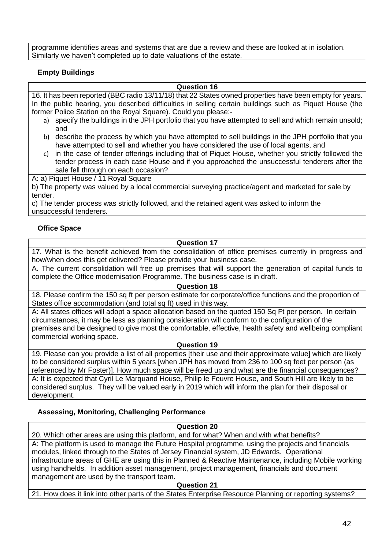programme identifies areas and systems that are due a review and these are looked at in isolation. Similarly we haven't completed up to date valuations of the estate.

# **Empty Buildings**

# **Question 16**

16. It has been reported (BBC radio 13/11/18) that 22 States owned properties have been empty for years. In the public hearing, you described difficulties in selling certain buildings such as Piquet House (the former Police Station on the Royal Square). Could you please:-

- a) specify the buildings in the JPH portfolio that you have attempted to sell and which remain unsold; and
- b) describe the process by which you have attempted to sell buildings in the JPH portfolio that you have attempted to sell and whether you have considered the use of local agents, and
- c) in the case of tender offerings including that of Piquet House, whether you strictly followed the tender process in each case House and if you approached the unsuccessful tenderers after the sale fell through on each occasion?

A: a) Piquet House / 11 Royal Square

b) The property was valued by a local commercial surveying practice/agent and marketed for sale by tender.

c) The tender process was strictly followed, and the retained agent was asked to inform the unsuccessful tenderers.

# **Office Space**

# **Question 17**

17. What is the benefit achieved from the consolidation of office premises currently in progress and how/when does this get delivered? Please provide your business case.

A. The current consolidation will free up premises that will support the generation of capital funds to complete the Office modernisation Programme. The business case is in draft.

#### **Question 18**

18. Please confirm the 150 sq ft per person estimate for corporate/office functions and the proportion of States office accommodation (and total sq ft) used in this way.

A: All states offices will adopt a space allocation based on the quoted 150 Sq Ft per person. In certain circumstances, it may be less as planning consideration will conform to the configuration of the premises and be designed to give most the comfortable, effective, health safety and wellbeing compliant commercial working space.

# **Question 19**

19. Please can you provide a list of all properties [their use and their approximate value] which are likely to be considered surplus within 5 years [when JPH has moved from 236 to 100 sq feet per person (as referenced by Mr Foster)]. How much space will be freed up and what are the financial consequences? A: It is expected that Cyril Le Marquand House, Philip le Feuvre House, and South Hill are likely to be considered surplus. They will be valued early in 2019 which will inform the plan for their disposal or development.

# **Assessing, Monitoring, Challenging Performance**

# **Question 20**

20. Which other areas are using this platform, and for what? When and with what benefits? A: The platform is used to manage the Future Hospital programme, using the projects and financials modules, linked through to the States of Jersey Financial system, JD Edwards. Operational infrastructure areas of GHE are using this in Planned & Reactive Maintenance, including Mobile working using handhelds. In addition asset management, project management, financials and document management are used by the transport team.

# **Question 21**

21. How does it link into other parts of the States Enterprise Resource Planning or reporting systems?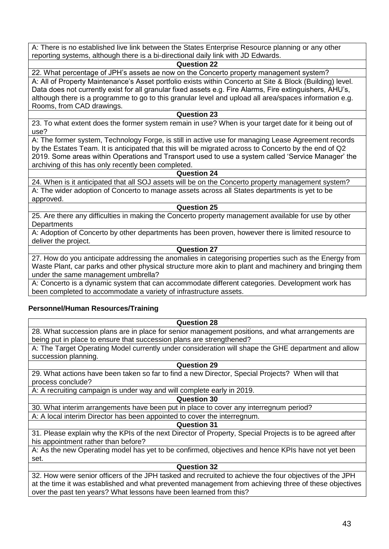A: There is no established live link between the States Enterprise Resource planning or any other reporting systems, although there is a bi-directional daily link with JD Edwards.

# **Question 22**

22. What percentage of JPH's assets ae now on the Concerto property management system? A: All of Property Maintenance's Asset portfolio exists within Concerto at Site & Block (Building) level. Data does not currently exist for all granular fixed assets e.g. Fire Alarms, Fire extinguishers, AHU's, although there is a programme to go to this granular level and upload all area/spaces information e.g. Rooms, from CAD drawings.

#### **Question 23**

23. To what extent does the former system remain in use? When is your target date for it being out of use?

A: The former system, Technology Forge, is still in active use for managing Lease Agreement records by the Estates Team. It is anticipated that this will be migrated across to Concerto by the end of Q2 2019. Some areas within Operations and Transport used to use a system called 'Service Manager' the archiving of this has only recently been completed.

# **Question 24**

24. When is it anticipated that all SOJ assets will be on the Concerto property management system? A: The wider adoption of Concerto to manage assets across all States departments is yet to be approved.

# **Question 25**

25. Are there any difficulties in making the Concerto property management available for use by other **Departments** 

A: Adoption of Concerto by other departments has been proven, however there is limited resource to deliver the project.

#### **Question 27**

27. How do you anticipate addressing the anomalies in categorising properties such as the Energy from Waste Plant, car parks and other physical structure more akin to plant and machinery and bringing them under the same management umbrella?

A: Concerto is a dynamic system that can accommodate different categories. Development work has been completed to accommodate a variety of infrastructure assets.

# **Personnel/Human Resources/Training**

# **Question 28**

28. What succession plans are in place for senior management positions, and what arrangements are being put in place to ensure that succession plans are strengthened?

A: The Target Operating Model currently under consideration will shape the GHE department and allow succession planning.

#### **Question 29**

29. What actions have been taken so far to find a new Director, Special Projects? When will that process conclude?

A: A recruiting campaign is under way and will complete early in 2019.

# **Question 30**

30. What interim arrangements have been put in place to cover any interregnum period?

A: A local interim Director has been appointed to cover the interregnum.

# **Question 31**

31. Please explain why the KPIs of the next Director of Property, Special Projects is to be agreed after his appointment rather than before?

A: As the new Operating model has yet to be confirmed, objectives and hence KPIs have not yet been set.

# **Question 32**

32. How were senior officers of the JPH tasked and recruited to achieve the four objectives of the JPH at the time it was established and what prevented management from achieving three of these objectives over the past ten years? What lessons have been learned from this?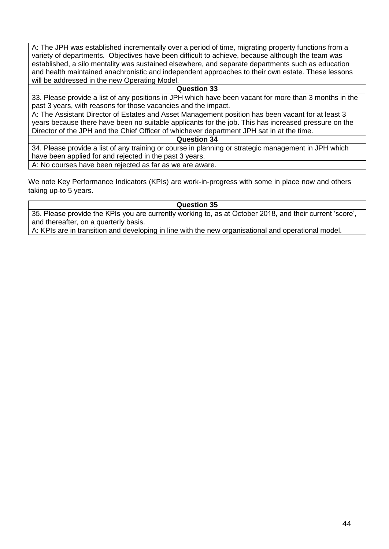A: The JPH was established incrementally over a period of time, migrating property functions from a variety of departments. Objectives have been difficult to achieve, because although the team was established, a silo mentality was sustained elsewhere, and separate departments such as education and health maintained anachronistic and independent approaches to their own estate. These lessons will be addressed in the new Operating Model.

**Question 33**

33. Please provide a list of any positions in JPH which have been vacant for more than 3 months in the past 3 years, with reasons for those vacancies and the impact.

A: The Assistant Director of Estates and Asset Management position has been vacant for at least 3 years because there have been no suitable applicants for the job. This has increased pressure on the Director of the JPH and the Chief Officer of whichever department JPH sat in at the time.

#### **Question 34**

34. Please provide a list of any training or course in planning or strategic management in JPH which have been applied for and rejected in the past 3 years.

A: No courses have been rejected as far as we are aware.

We note Key Performance Indicators (KPIs) are work-in-progress with some in place now and others taking up-to 5 years.

#### **Question 35**

35. Please provide the KPIs you are currently working to, as at October 2018, and their current 'score', and thereafter, on a quarterly basis.

A: KPIs are in transition and developing in line with the new organisational and operational model.